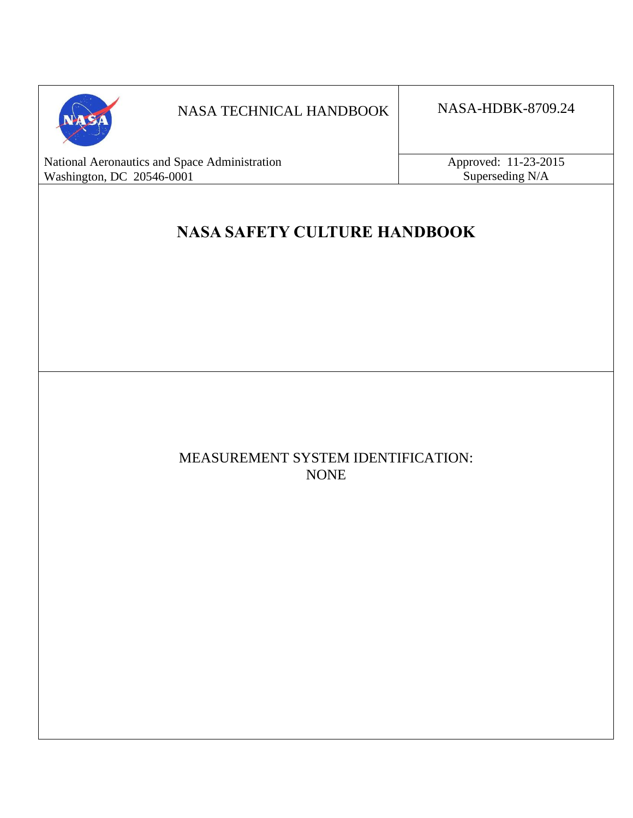

# NASA TECHNICAL HANDBOOK NASA-HDBK-8709.24

National Aeronautics and Space Administration Approved: 11-23-2015 Washington, DC 20546-0001 Superseding N/A

# **NASA SAFETY CULTURE HANDBOOK**

# MEASUREMENT SYSTEM IDENTIFICATION: NONE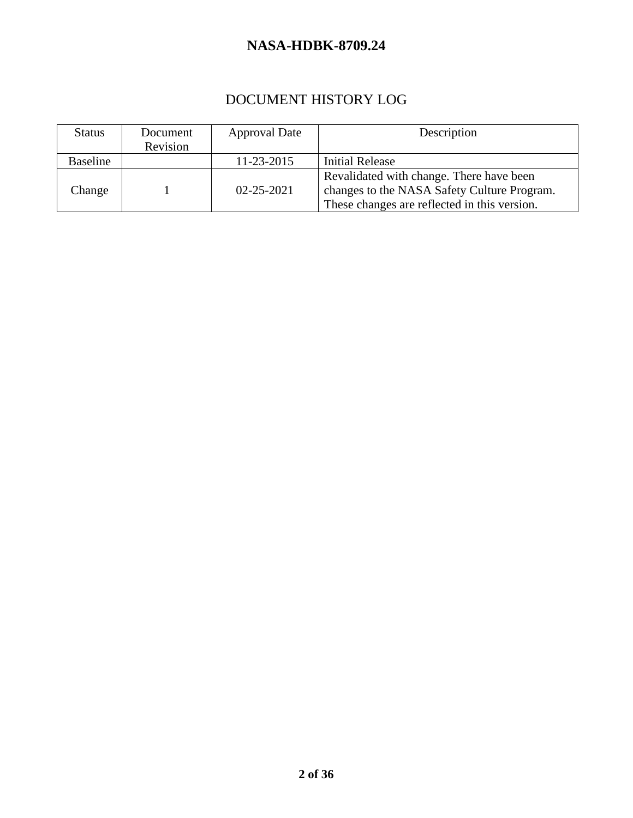# DOCUMENT HISTORY LOG

| <b>Status</b>   | Document | <b>Approval Date</b> | Description                                  |
|-----------------|----------|----------------------|----------------------------------------------|
|                 | Revision |                      |                                              |
| <b>Baseline</b> |          | 11-23-2015           | <b>Initial Release</b>                       |
|                 |          |                      | Revalidated with change. There have been     |
| Change          |          | $02 - 25 - 2021$     | changes to the NASA Safety Culture Program.  |
|                 |          |                      | These changes are reflected in this version. |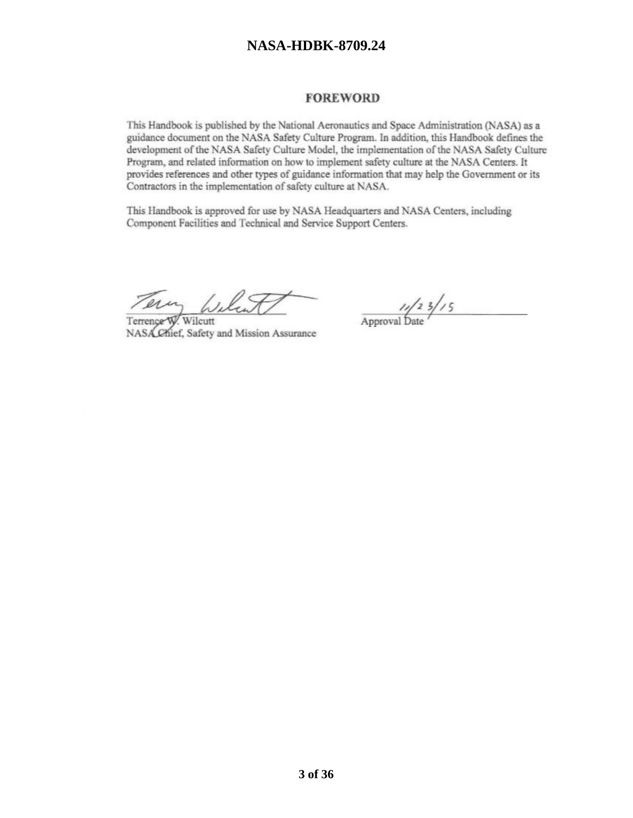#### **FOREWORD**

This Handbook is published by the National Aeronautics and Space Administration (NASA) as a guidance document on the NASA Safety Culture Program. In addition, this Handbook defines the development of the NASA Safety Culture Model, the implementation of the NASA Safety Culture Program, and related information on how to implement safety culture at the NASA Centers. It provides references and other types of guidance information that may help the Government or its Contractors in the implementation of safety culture at NASA.

This Handbook is approved for use by NASA Headquarters and NASA Centers, including Component Facilities and Technical and Service Support Centers.

Terrence W. Wilcutt NASA Chief, Safety and Mission Assurance

 $\frac{1}{2}$  Approval Date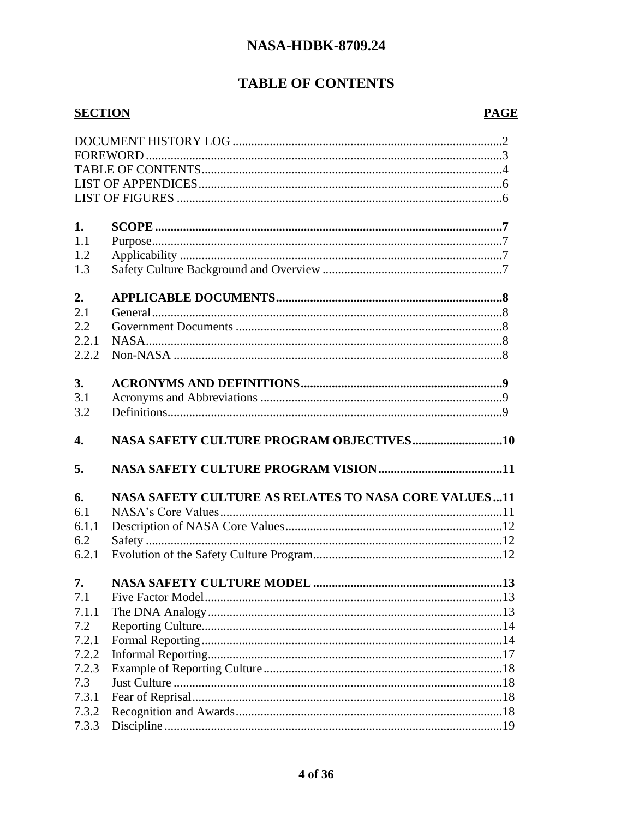# **TABLE OF CONTENTS**

#### **SECTION**

### **PAGE**

| 1.               |                                                      |  |  |
|------------------|------------------------------------------------------|--|--|
| 1.1              |                                                      |  |  |
| 1.2              |                                                      |  |  |
| 1.3              |                                                      |  |  |
|                  |                                                      |  |  |
| 2.               |                                                      |  |  |
| 2.1              |                                                      |  |  |
| 2.2              |                                                      |  |  |
| 2.2.1            |                                                      |  |  |
| 2.2.2            |                                                      |  |  |
|                  |                                                      |  |  |
| 3.               |                                                      |  |  |
| 3.1              |                                                      |  |  |
| 3.2              |                                                      |  |  |
|                  |                                                      |  |  |
|                  |                                                      |  |  |
| $\overline{4}$ . |                                                      |  |  |
|                  |                                                      |  |  |
| 5.               |                                                      |  |  |
|                  |                                                      |  |  |
| 6.               | NASA SAFETY CULTURE AS RELATES TO NASA CORE VALUES11 |  |  |
| 6.1              |                                                      |  |  |
| 6.1.1            |                                                      |  |  |
| 6.2              |                                                      |  |  |
| 6.2.1            |                                                      |  |  |
|                  |                                                      |  |  |
| 7.               |                                                      |  |  |
| 7.1              |                                                      |  |  |
| 7.1.1            |                                                      |  |  |
| 7.2              |                                                      |  |  |
| 7.2.1            |                                                      |  |  |
| 7.2.2            |                                                      |  |  |
| 7.2.3            |                                                      |  |  |
| 7.3              |                                                      |  |  |
| 7.3.1            |                                                      |  |  |
| 7.3.2            |                                                      |  |  |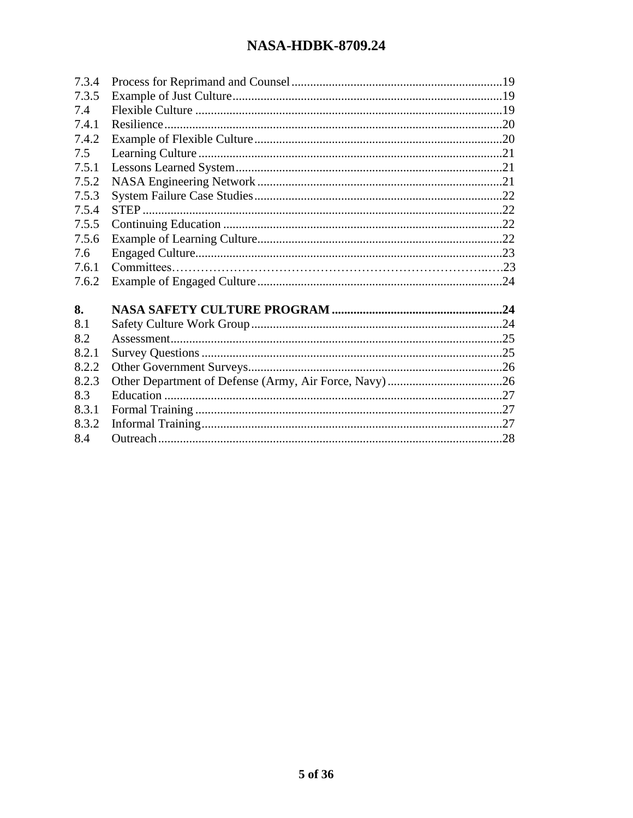| 7.3.4 |  |
|-------|--|
| 7.3.5 |  |
| 7.4   |  |
| 7.4.1 |  |
| 7.4.2 |  |
| 7.5   |  |
| 7.5.1 |  |
| 7.5.2 |  |
| 7.5.3 |  |
| 7.5.4 |  |
| 7.5.5 |  |
| 7.5.6 |  |
| 7.6   |  |
| 7.6.1 |  |
| 7.6.2 |  |
|       |  |
| 8.    |  |
| 8.1   |  |
| 8.2   |  |
| 8.2.1 |  |
| 8.2.2 |  |
| 8.2.3 |  |
| 8.3   |  |
| 8.3.1 |  |
| 8.3.2 |  |
| 8.4   |  |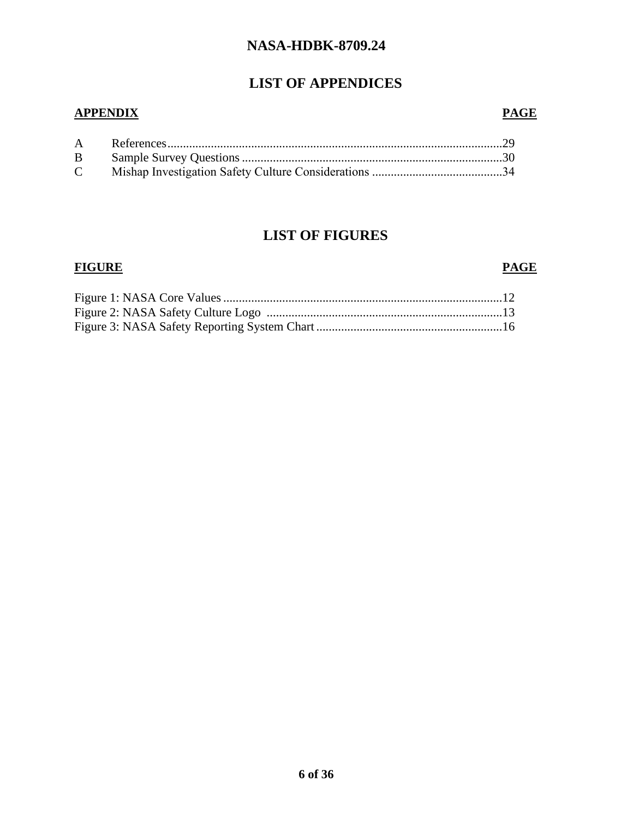# **LIST OF APPENDICES**

#### **APPENDIX PAGE**

# **LIST OF FIGURES**

#### **FIGURE PAGE**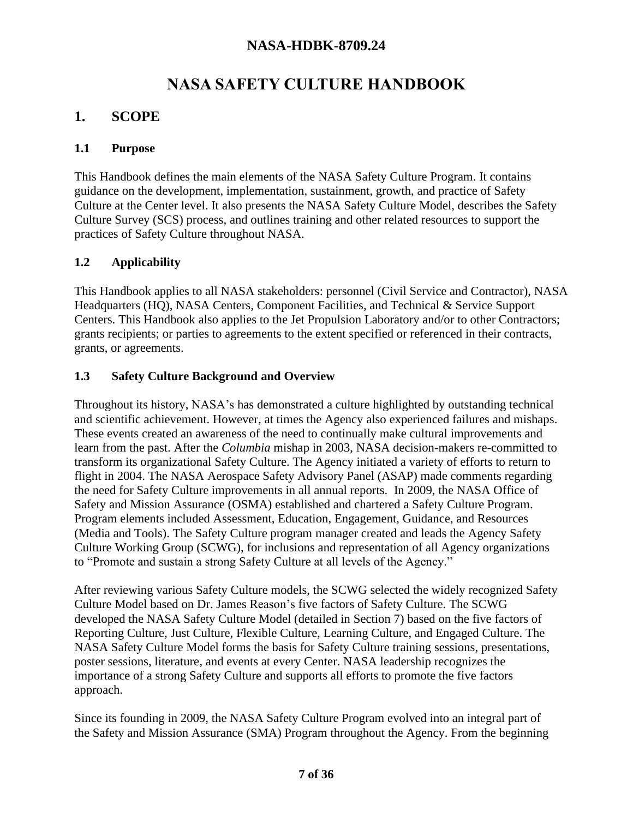# **NASA SAFETY CULTURE HANDBOOK**

# **1. SCOPE**

#### **1.1 Purpose**

This Handbook defines the main elements of the NASA Safety Culture Program. It contains guidance on the development, implementation, sustainment, growth, and practice of Safety Culture at the Center level. It also presents the NASA Safety Culture Model, describes the Safety Culture Survey (SCS) process, and outlines training and other related resources to support the practices of Safety Culture throughout NASA.

#### **1.2 Applicability**

This Handbook applies to all NASA stakeholders: personnel (Civil Service and Contractor), NASA Headquarters (HQ), NASA Centers, Component Facilities, and Technical & Service Support Centers. This Handbook also applies to the Jet Propulsion Laboratory and/or to other Contractors; grants recipients; or parties to agreements to the extent specified or referenced in their contracts, grants, or agreements.

#### **1.3 Safety Culture Background and Overview**

Throughout its history, NASA's has demonstrated a culture highlighted by outstanding technical and scientific achievement. However, at times the Agency also experienced failures and mishaps. These events created an awareness of the need to continually make cultural improvements and learn from the past. After the *Columbia* mishap in 2003, NASA decision-makers re-committed to transform its organizational Safety Culture. The Agency initiated a variety of efforts to return to flight in 2004. The NASA Aerospace Safety Advisory Panel (ASAP) made comments regarding the need for Safety Culture improvements in all annual reports. In 2009, the NASA Office of Safety and Mission Assurance (OSMA) established and chartered a Safety Culture Program. Program elements included Assessment, Education, Engagement, Guidance, and Resources (Media and Tools). The Safety Culture program manager created and leads the Agency Safety Culture Working Group (SCWG), for inclusions and representation of all Agency organizations to "Promote and sustain a strong Safety Culture at all levels of the Agency."

After reviewing various Safety Culture models, the SCWG selected the widely recognized Safety Culture Model based on Dr. James Reason's five factors of Safety Culture. The SCWG developed the NASA Safety Culture Model (detailed in Section 7) based on the five factors of Reporting Culture, Just Culture, Flexible Culture, Learning Culture, and Engaged Culture. The NASA Safety Culture Model forms the basis for Safety Culture training sessions, presentations, poster sessions, literature, and events at every Center. NASA leadership recognizes the importance of a strong Safety Culture and supports all efforts to promote the five factors approach.

Since its founding in 2009, the NASA Safety Culture Program evolved into an integral part of the Safety and Mission Assurance (SMA) Program throughout the Agency. From the beginning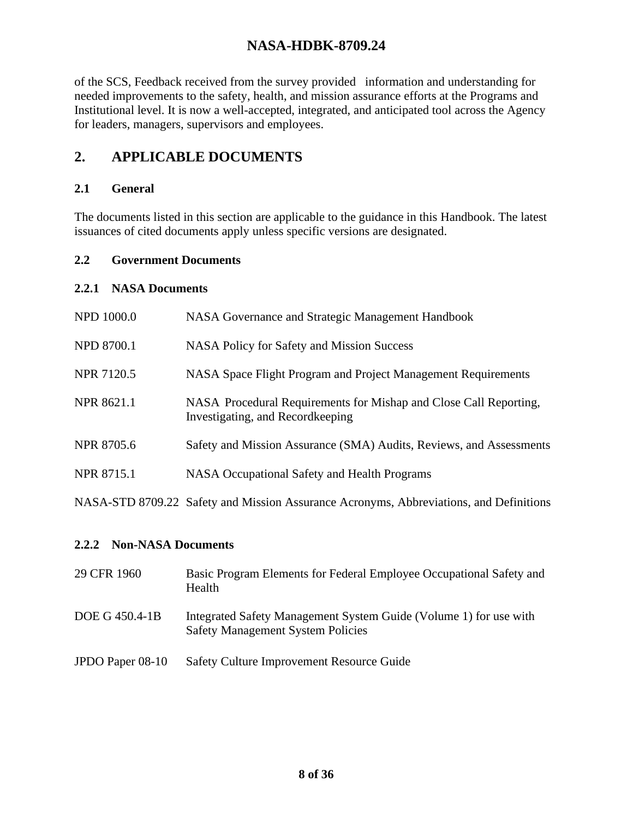of the SCS, Feedback received from the survey provided information and understanding for needed improvements to the safety, health, and mission assurance efforts at the Programs and Institutional level. It is now a well-accepted, integrated, and anticipated tool across the Agency for leaders, managers, supervisors and employees.

# **2. APPLICABLE DOCUMENTS**

#### **2.1 General**

The documents listed in this section are applicable to the guidance in this Handbook. The latest issuances of cited documents apply unless specific versions are designated.

#### **2.2 Government Documents**

#### **2.2.1 NASA Documents**

| <b>NPD 1000.0</b> | NASA Governance and Strategic Management Handbook                                                     |
|-------------------|-------------------------------------------------------------------------------------------------------|
| <b>NPD 8700.1</b> | <b>NASA Policy for Safety and Mission Success</b>                                                     |
| <b>NPR 7120.5</b> | NASA Space Flight Program and Project Management Requirements                                         |
| <b>NPR 8621.1</b> | NASA Procedural Requirements for Mishap and Close Call Reporting,<br>Investigating, and Recordkeeping |
| <b>NPR 8705.6</b> | Safety and Mission Assurance (SMA) Audits, Reviews, and Assessments                                   |
| <b>NPR 8715.1</b> | NASA Occupational Safety and Health Programs                                                          |
|                   | NASA-STD 8709.22 Safety and Mission Assurance Acronyms, Abbreviations, and Definitions                |

#### **2.2.2 Non-NASA Documents**

- 29 CFR 1960 Basic Program Elements for Federal Employee Occupational Safety and Health
- DOE G 450.4-1B Integrated Safety Management System Guide (Volume 1) for use with Safety Management System Policies
- JPDO Paper 08-10 Safety Culture Improvement Resource Guide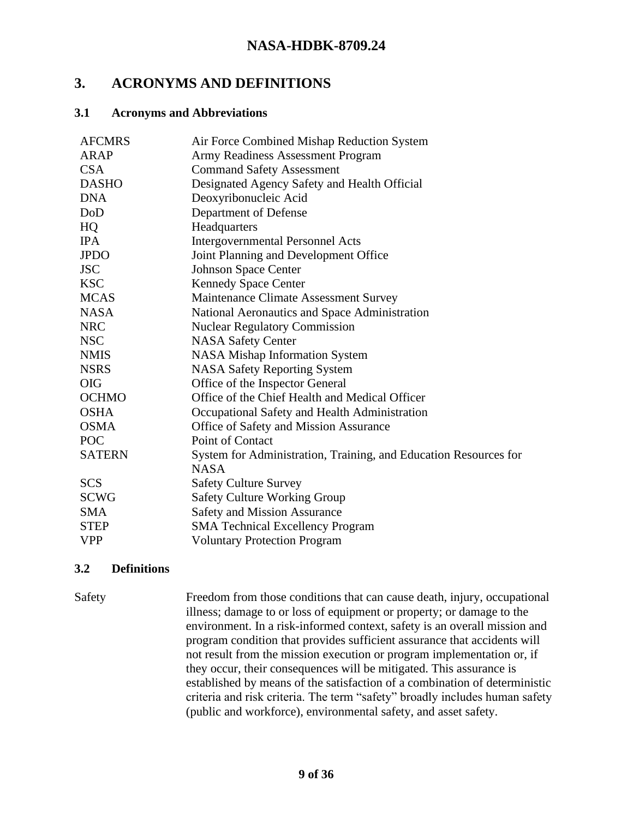## **3. ACRONYMS AND DEFINITIONS**

#### **3.1 Acronyms and Abbreviations**

| <b>AFCMRS</b> | Air Force Combined Mishap Reduction System                       |
|---------------|------------------------------------------------------------------|
| ARAP          | Army Readiness Assessment Program                                |
| <b>CSA</b>    | <b>Command Safety Assessment</b>                                 |
| <b>DASHO</b>  | Designated Agency Safety and Health Official                     |
| <b>DNA</b>    | Deoxyribonucleic Acid                                            |
| DoD           | Department of Defense                                            |
| HQ            | Headquarters                                                     |
| <b>IPA</b>    | <b>Intergovernmental Personnel Acts</b>                          |
| <b>JPDO</b>   | Joint Planning and Development Office                            |
| <b>JSC</b>    | <b>Johnson Space Center</b>                                      |
| <b>KSC</b>    | <b>Kennedy Space Center</b>                                      |
| <b>MCAS</b>   | Maintenance Climate Assessment Survey                            |
| <b>NASA</b>   | National Aeronautics and Space Administration                    |
| <b>NRC</b>    | <b>Nuclear Regulatory Commission</b>                             |
| <b>NSC</b>    | <b>NASA Safety Center</b>                                        |
| <b>NMIS</b>   | <b>NASA Mishap Information System</b>                            |
| <b>NSRS</b>   | <b>NASA Safety Reporting System</b>                              |
| <b>OIG</b>    | Office of the Inspector General                                  |
| <b>OCHMO</b>  | Office of the Chief Health and Medical Officer                   |
| <b>OSHA</b>   | Occupational Safety and Health Administration                    |
| <b>OSMA</b>   | Office of Safety and Mission Assurance                           |
| <b>POC</b>    | Point of Contact                                                 |
| <b>SATERN</b> | System for Administration, Training, and Education Resources for |
|               | <b>NASA</b>                                                      |
| <b>SCS</b>    | <b>Safety Culture Survey</b>                                     |
| <b>SCWG</b>   | Safety Culture Working Group                                     |
| <b>SMA</b>    | <b>Safety and Mission Assurance</b>                              |
| <b>STEP</b>   | <b>SMA Technical Excellency Program</b>                          |
| <b>VPP</b>    | <b>Voluntary Protection Program</b>                              |

#### **3.2 Definitions**

Safety Freedom from those conditions that can cause death, injury, occupational illness; damage to or loss of equipment or property; or damage to the environment. In a risk-informed context, safety is an overall mission and program condition that provides sufficient assurance that accidents will not result from the mission execution or program implementation or, if they occur, their consequences will be mitigated. This assurance is established by means of the satisfaction of a combination of deterministic criteria and risk criteria. The term "safety" broadly includes human safety (public and workforce), environmental safety, and asset safety.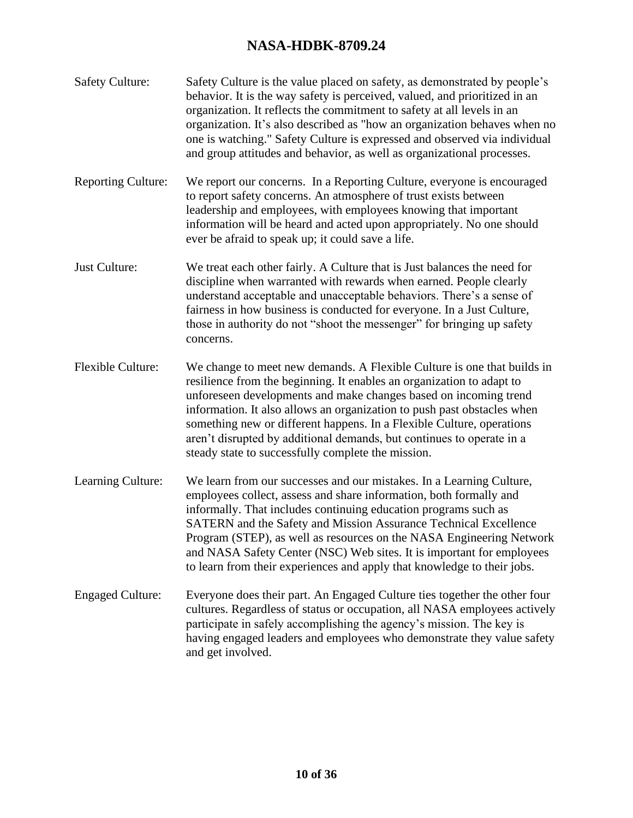| <b>Safety Culture:</b>    | Safety Culture is the value placed on safety, as demonstrated by people's<br>behavior. It is the way safety is perceived, valued, and prioritized in an<br>organization. It reflects the commitment to safety at all levels in an<br>organization. It's also described as "how an organization behaves when no<br>one is watching." Safety Culture is expressed and observed via individual<br>and group attitudes and behavior, as well as organizational processes.                                         |
|---------------------------|---------------------------------------------------------------------------------------------------------------------------------------------------------------------------------------------------------------------------------------------------------------------------------------------------------------------------------------------------------------------------------------------------------------------------------------------------------------------------------------------------------------|
| <b>Reporting Culture:</b> | We report our concerns. In a Reporting Culture, everyone is encouraged<br>to report safety concerns. An atmosphere of trust exists between<br>leadership and employees, with employees knowing that important<br>information will be heard and acted upon appropriately. No one should<br>ever be afraid to speak up; it could save a life.                                                                                                                                                                   |
| Just Culture:             | We treat each other fairly. A Culture that is Just balances the need for<br>discipline when warranted with rewards when earned. People clearly<br>understand acceptable and unacceptable behaviors. There's a sense of<br>fairness in how business is conducted for everyone. In a Just Culture,<br>those in authority do not "shoot the messenger" for bringing up safety<br>concerns.                                                                                                                       |
| <b>Flexible Culture:</b>  | We change to meet new demands. A Flexible Culture is one that builds in<br>resilience from the beginning. It enables an organization to adapt to<br>unforeseen developments and make changes based on incoming trend<br>information. It also allows an organization to push past obstacles when<br>something new or different happens. In a Flexible Culture, operations<br>aren't disrupted by additional demands, but continues to operate in a<br>steady state to successfully complete the mission.       |
| Learning Culture:         | We learn from our successes and our mistakes. In a Learning Culture,<br>employees collect, assess and share information, both formally and<br>informally. That includes continuing education programs such as<br>SATERN and the Safety and Mission Assurance Technical Excellence<br>Program (STEP), as well as resources on the NASA Engineering Network<br>and NASA Safety Center (NSC) Web sites. It is important for employees<br>to learn from their experiences and apply that knowledge to their jobs. |
| <b>Engaged Culture:</b>   | Everyone does their part. An Engaged Culture ties together the other four<br>cultures. Regardless of status or occupation, all NASA employees actively<br>participate in safely accomplishing the agency's mission. The key is<br>having engaged leaders and employees who demonstrate they value safety<br>and get involved.                                                                                                                                                                                 |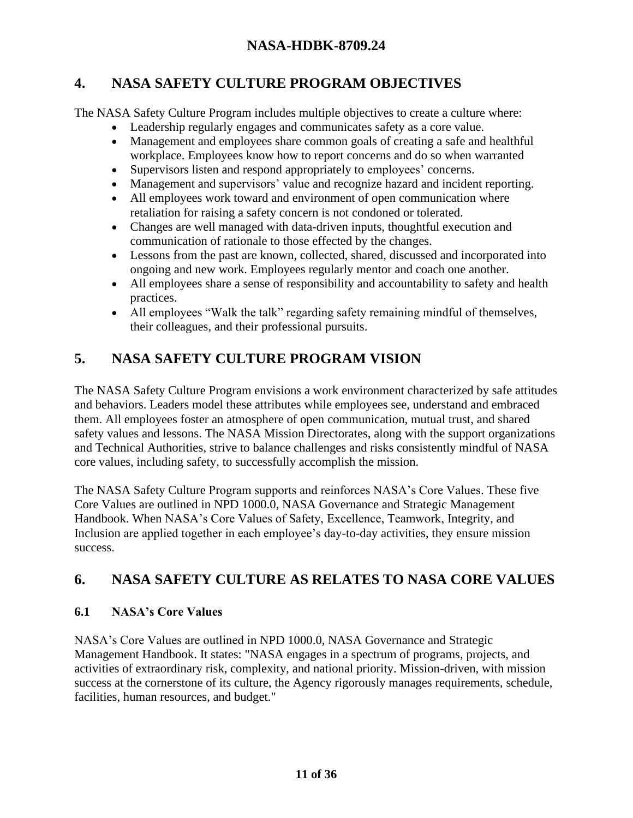# **4. NASA SAFETY CULTURE PROGRAM OBJECTIVES**

The NASA Safety Culture Program includes multiple objectives to create a culture where:

- Leadership regularly engages and communicates safety as a core value.
- Management and employees share common goals of creating a safe and healthful workplace. Employees know how to report concerns and do so when warranted
- Supervisors listen and respond appropriately to employees' concerns.
- Management and supervisors' value and recognize hazard and incident reporting.
- All employees work toward and environment of open communication where retaliation for raising a safety concern is not condoned or tolerated.
- Changes are well managed with data-driven inputs, thoughtful execution and communication of rationale to those effected by the changes.
- Lessons from the past are known, collected, shared, discussed and incorporated into ongoing and new work. Employees regularly mentor and coach one another.
- All employees share a sense of responsibility and accountability to safety and health practices.
- All employees "Walk the talk" regarding safety remaining mindful of themselves, their colleagues, and their professional pursuits.

# **5. NASA SAFETY CULTURE PROGRAM VISION**

The NASA Safety Culture Program envisions a work environment characterized by safe attitudes and behaviors. Leaders model these attributes while employees see, understand and embraced them. All employees foster an atmosphere of open communication, mutual trust, and shared safety values and lessons. The NASA Mission Directorates, along with the support organizations and Technical Authorities, strive to balance challenges and risks consistently mindful of NASA core values, including safety, to successfully accomplish the mission.

The NASA Safety Culture Program supports and reinforces NASA's Core Values. These five Core Values are outlined in NPD 1000.0, NASA Governance and Strategic Management Handbook. When NASA's Core Values of Safety, Excellence, Teamwork, Integrity, and Inclusion are applied together in each employee's day-to-day activities, they ensure mission success.

# **6. NASA SAFETY CULTURE AS RELATES TO NASA CORE VALUES**

# **6.1 NASA's Core Values**

NASA's Core Values are outlined in NPD 1000.0, NASA Governance and Strategic Management Handbook. It states: "NASA engages in a spectrum of programs, projects, and activities of extraordinary risk, complexity, and national priority. Mission-driven, with mission success at the cornerstone of its culture, the Agency rigorously manages requirements, schedule, facilities, human resources, and budget."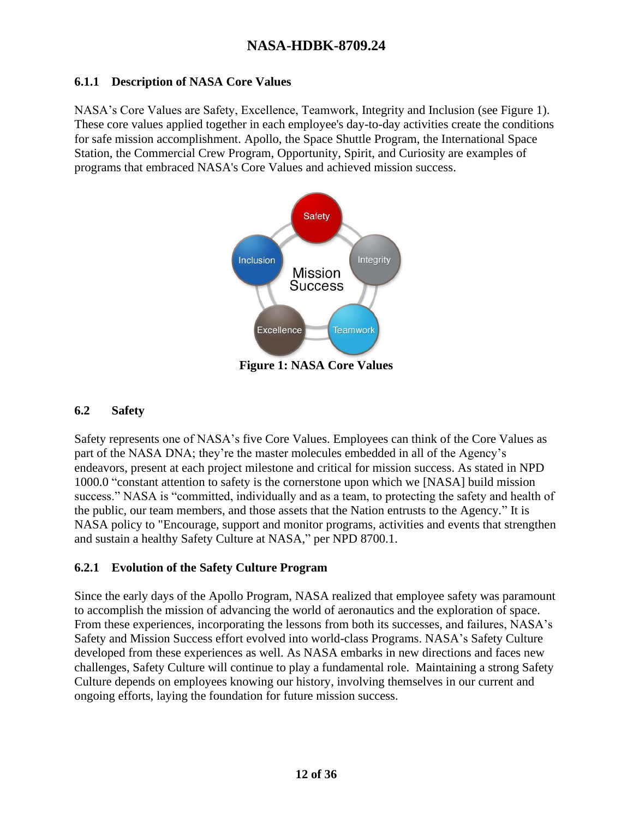#### **6.1.1 Description of NASA Core Values**

NASA's Core Values are Safety, Excellence, Teamwork, Integrity and Inclusion (see Figure 1). These core values applied together in each employee's day-to-day activities create the conditions for safe mission accomplishment. Apollo, the Space Shuttle Program, the International Space Station, the Commercial Crew Program, Opportunity, Spirit, and Curiosity are examples of programs that embraced NASA's Core Values and achieved mission success.



**Figure 1: NASA Core Values**

#### **6.2 Safety**

Safety represents one of NASA's five Core Values. Employees can think of the Core Values as part of the NASA DNA; they're the master molecules embedded in all of the Agency's endeavors, present at each project milestone and critical for mission success. As stated in NPD 1000.0 "constant attention to safety is the cornerstone upon which we [NASA] build mission success." NASA is "committed, individually and as a team, to protecting the safety and health of the public, our team members, and those assets that the Nation entrusts to the Agency." It is NASA policy to "Encourage, support and monitor programs, activities and events that strengthen and sustain a healthy Safety Culture at NASA," per NPD 8700.1.

### **6.2.1 Evolution of the Safety Culture Program**

Since the early days of the Apollo Program, NASA realized that employee safety was paramount to accomplish the mission of advancing the world of aeronautics and the exploration of space. From these experiences, incorporating the lessons from both its successes, and failures, NASA's Safety and Mission Success effort evolved into world-class Programs. NASA's Safety Culture developed from these experiences as well. As NASA embarks in new directions and faces new challenges, Safety Culture will continue to play a fundamental role. Maintaining a strong Safety Culture depends on employees knowing our history, involving themselves in our current and ongoing efforts, laying the foundation for future mission success.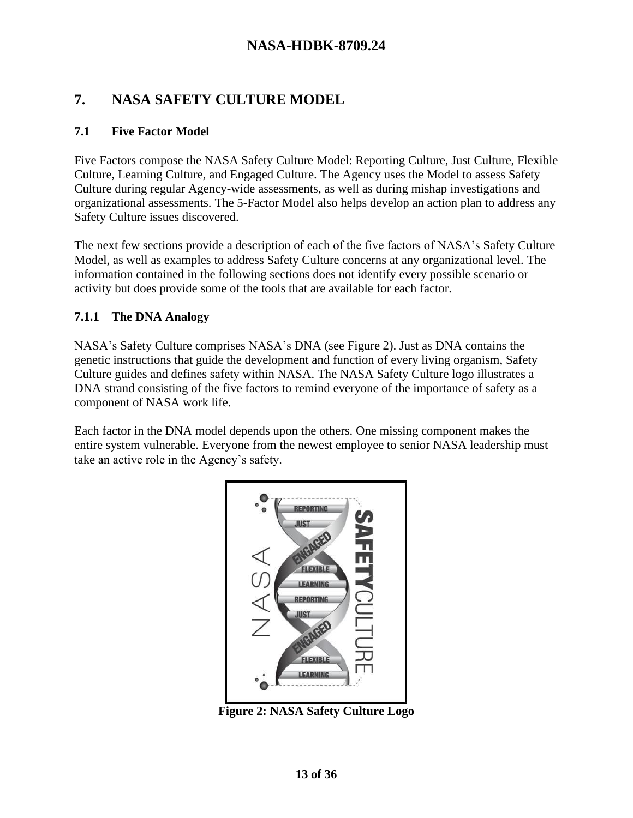# **7. NASA SAFETY CULTURE MODEL**

#### **7.1 Five Factor Model**

Five Factors compose the NASA Safety Culture Model: Reporting Culture, Just Culture, Flexible Culture, Learning Culture, and Engaged Culture. The Agency uses the Model to assess Safety Culture during regular Agency-wide assessments, as well as during mishap investigations and organizational assessments. The 5-Factor Model also helps develop an action plan to address any Safety Culture issues discovered.

The next few sections provide a description of each of the five factors of NASA's Safety Culture Model, as well as examples to address Safety Culture concerns at any organizational level. The information contained in the following sections does not identify every possible scenario or activity but does provide some of the tools that are available for each factor.

#### **7.1.1 The DNA Analogy**

NASA's Safety Culture comprises NASA's DNA (see Figure 2). Just as DNA contains the genetic instructions that guide the development and function of every living organism, Safety Culture guides and defines safety within NASA. The NASA Safety Culture logo illustrates a DNA strand consisting of the five factors to remind everyone of the importance of safety as a component of NASA work life.

Each factor in the DNA model depends upon the others. One missing component makes the entire system vulnerable. Everyone from the newest employee to senior NASA leadership must take an active role in the Agency's safety.



**Figure 2: NASA Safety Culture Logo**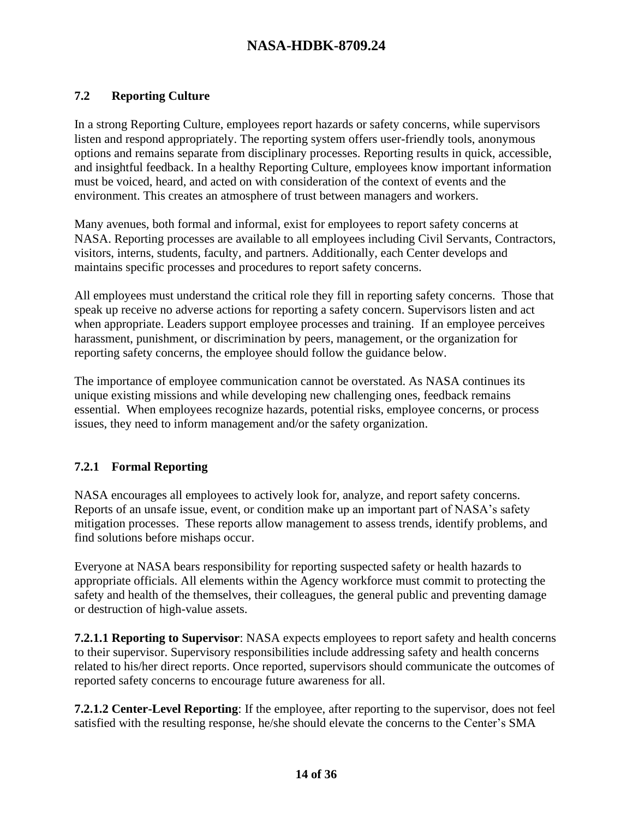#### **7.2 Reporting Culture**

In a strong Reporting Culture, employees report hazards or safety concerns, while supervisors listen and respond appropriately. The reporting system offers user-friendly tools, anonymous options and remains separate from disciplinary processes. Reporting results in quick, accessible, and insightful feedback. In a healthy Reporting Culture, employees know important information must be voiced, heard, and acted on with consideration of the context of events and the environment. This creates an atmosphere of trust between managers and workers.

Many avenues, both formal and informal, exist for employees to report safety concerns at NASA. Reporting processes are available to all employees including Civil Servants, Contractors, visitors, interns, students, faculty, and partners. Additionally, each Center develops and maintains specific processes and procedures to report safety concerns.

All employees must understand the critical role they fill in reporting safety concerns. Those that speak up receive no adverse actions for reporting a safety concern. Supervisors listen and act when appropriate. Leaders support employee processes and training. If an employee perceives harassment, punishment, or discrimination by peers, management, or the organization for reporting safety concerns, the employee should follow the guidance below.

The importance of employee communication cannot be overstated. As NASA continues its unique existing missions and while developing new challenging ones, feedback remains essential. When employees recognize hazards, potential risks, employee concerns, or process issues, they need to inform management and/or the safety organization.

#### **7.2.1 Formal Reporting**

NASA encourages all employees to actively look for, analyze, and report safety concerns. Reports of an unsafe issue, event, or condition make up an important part of NASA's safety mitigation processes. These reports allow management to assess trends, identify problems, and find solutions before mishaps occur.

Everyone at NASA bears responsibility for reporting suspected safety or health hazards to appropriate officials. All elements within the Agency workforce must commit to protecting the safety and health of the themselves, their colleagues, the general public and preventing damage or destruction of high-value assets.

**7.2.1.1 Reporting to Supervisor**: NASA expects employees to report safety and health concerns to their supervisor. Supervisory responsibilities include addressing safety and health concerns related to his/her direct reports. Once reported, supervisors should communicate the outcomes of reported safety concerns to encourage future awareness for all.

**7.2.1.2 Center-Level Reporting**: If the employee, after reporting to the supervisor, does not feel satisfied with the resulting response, he/she should elevate the concerns to the Center's SMA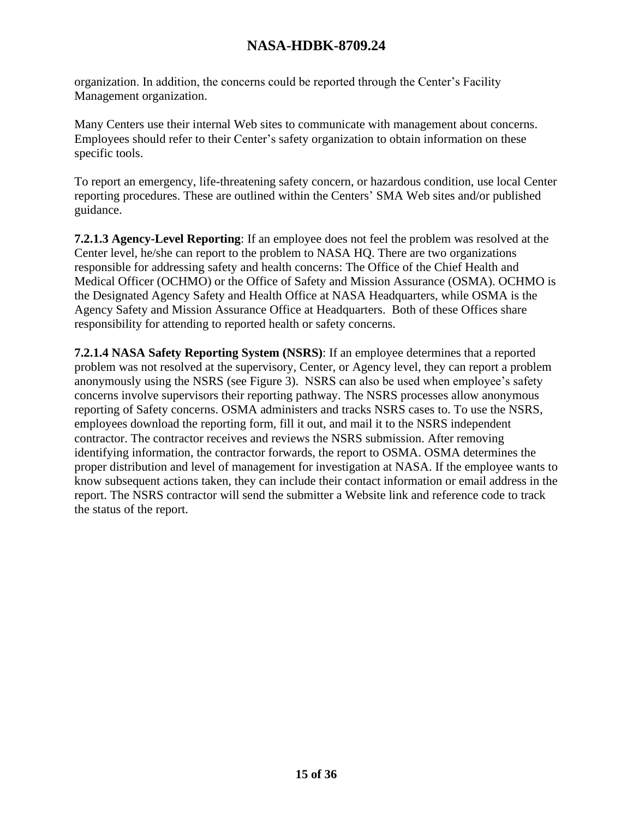organization. In addition, the concerns could be reported through the Center's Facility Management organization.

Many Centers use their internal Web sites to communicate with management about concerns. Employees should refer to their Center's safety organization to obtain information on these specific tools.

To report an emergency, life-threatening safety concern, or hazardous condition, use local Center reporting procedures. These are outlined within the Centers' SMA Web sites and/or published guidance.

**7.2.1.3 Agency-Level Reporting**: If an employee does not feel the problem was resolved at the Center level, he/she can report to the problem to NASA HQ. There are two organizations responsible for addressing safety and health concerns: The Office of the Chief Health and Medical Officer (OCHMO) or the Office of Safety and Mission Assurance (OSMA). OCHMO is the Designated Agency Safety and Health Office at NASA Headquarters, while OSMA is the Agency Safety and Mission Assurance Office at Headquarters. Both of these Offices share responsibility for attending to reported health or safety concerns.

**7.2.1.4 NASA Safety Reporting System (NSRS)**: If an employee determines that a reported problem was not resolved at the supervisory, Center, or Agency level, they can report a problem anonymously using the NSRS (see Figure 3). NSRS can also be used when employee's safety concerns involve supervisors their reporting pathway. The NSRS processes allow anonymous reporting of Safety concerns. OSMA administers and tracks NSRS cases to. To use the NSRS, employees download the reporting form, fill it out, and mail it to the NSRS independent contractor. The contractor receives and reviews the NSRS submission. After removing identifying information, the contractor forwards, the report to OSMA. OSMA determines the proper distribution and level of management for investigation at NASA. If the employee wants to know subsequent actions taken, they can include their contact information or email address in the report. The NSRS contractor will send the submitter a Website link and reference code to track the status of the report.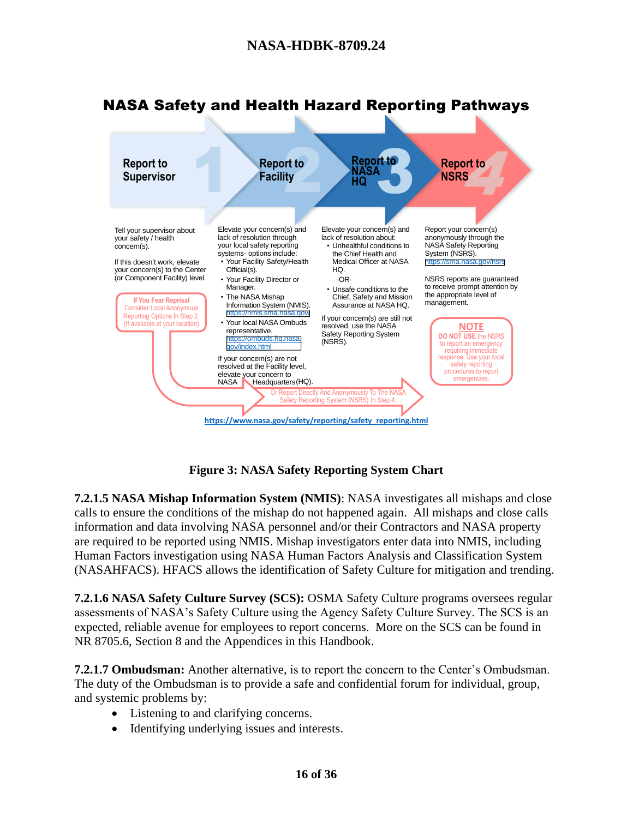

# NASA Safety and Health Hazard Reporting Pathways

**Figure 3: NASA Safety Reporting System Chart**

**7.2.1.5 NASA Mishap Information System (NMIS)**: NASA investigates all mishaps and close calls to ensure the conditions of the mishap do not happened again. All mishaps and close calls information and data involving NASA personnel and/or their Contractors and NASA property are required to be reported using NMIS. Mishap investigators enter data into NMIS, including Human Factors investigation using NASA Human Factors Analysis and Classification System (NASAHFACS). HFACS allows the identification of Safety Culture for mitigation and trending.

**7.2.1.6 NASA Safety Culture Survey (SCS):** OSMA Safety Culture programs oversees regular assessments of NASA's Safety Culture using the Agency Safety Culture Survey. The SCS is an expected, reliable avenue for employees to report concerns. More on the SCS can be found in NR 8705.6, Section 8 and the Appendices in this Handbook.

**7.2.1.7 Ombudsman:** Another alternative, is to report the concern to the Center's Ombudsman. The duty of the Ombudsman is to provide a safe and confidential forum for individual, group, and systemic problems by:

- Listening to and clarifying concerns.
- Identifying underlying issues and interests.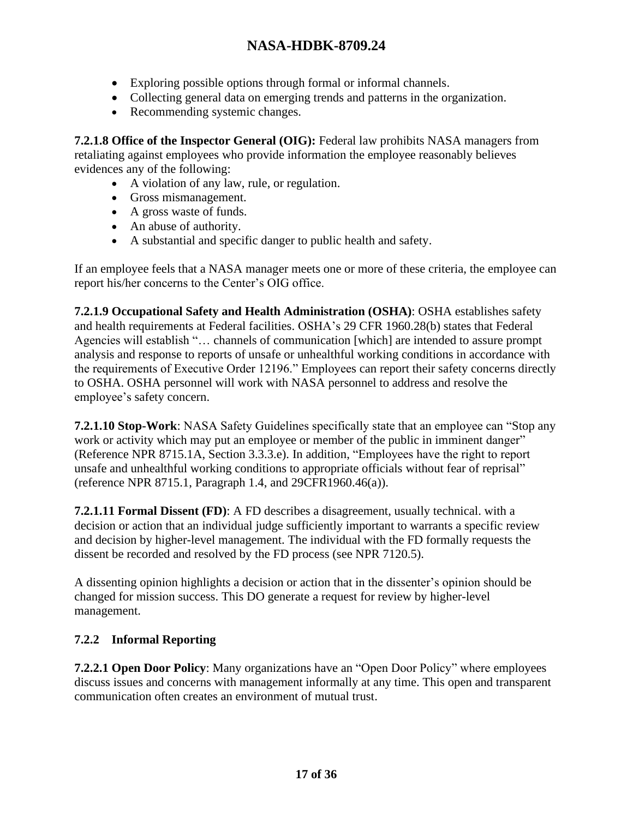- Exploring possible options through formal or informal channels.
- Collecting general data on emerging trends and patterns in the organization.
- Recommending systemic changes.

**7.2.1.8 Office of the Inspector General (OIG):** Federal law prohibits NASA managers from retaliating against employees who provide information the employee reasonably believes evidences any of the following:

- A violation of any law, rule, or regulation.
- Gross mismanagement.
- A gross waste of funds.
- An abuse of authority.
- A substantial and specific danger to public health and safety.

If an employee feels that a NASA manager meets one or more of these criteria, the employee can report his/her concerns to the Center's OIG office.

**7.2.1.9 Occupational Safety and Health Administration (OSHA)**: OSHA establishes safety and health requirements at Federal facilities. OSHA's 29 CFR 1960.28(b) states that Federal Agencies will establish "… channels of communication [which] are intended to assure prompt analysis and response to reports of unsafe or unhealthful working conditions in accordance with the requirements of Executive Order 12196." Employees can report their safety concerns directly to OSHA. OSHA personnel will work with NASA personnel to address and resolve the employee's safety concern.

**7.2.1.10 Stop-Work**: NASA Safety Guidelines specifically state that an employee can "Stop any work or activity which may put an employee or member of the public in imminent danger" (Reference NPR 8715.1A, Section 3.3.3.e). In addition, "Employees have the right to report unsafe and unhealthful working conditions to appropriate officials without fear of reprisal" (reference NPR 8715.1, Paragraph 1.4, and 29CFR1960.46(a)).

**7.2.1.11 Formal Dissent (FD)**: A FD describes a disagreement, usually technical. with a decision or action that an individual judge sufficiently important to warrants a specific review and decision by higher-level management. The individual with the FD formally requests the dissent be recorded and resolved by the FD process (see NPR 7120.5).

A dissenting opinion highlights a decision or action that in the dissenter's opinion should be changed for mission success. This DO generate a request for review by higher-level management.

### **7.2.2 Informal Reporting**

**7.2.2.1 Open Door Policy**: Many organizations have an "Open Door Policy" where employees discuss issues and concerns with management informally at any time. This open and transparent communication often creates an environment of mutual trust.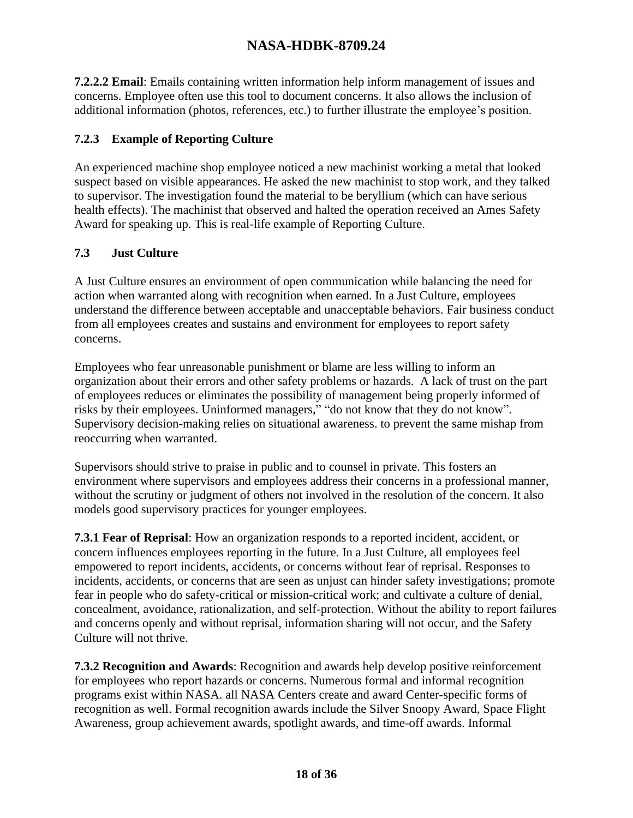**7.2.2.2 Email**: Emails containing written information help inform management of issues and concerns. Employee often use this tool to document concerns. It also allows the inclusion of additional information (photos, references, etc.) to further illustrate the employee's position.

#### **7.2.3 Example of Reporting Culture**

An experienced machine shop employee noticed a new machinist working a metal that looked suspect based on visible appearances. He asked the new machinist to stop work, and they talked to supervisor. The investigation found the material to be beryllium (which can have serious health effects). The machinist that observed and halted the operation received an Ames Safety Award for speaking up. This is real-life example of Reporting Culture.

#### **7.3 Just Culture**

A Just Culture ensures an environment of open communication while balancing the need for action when warranted along with recognition when earned. In a Just Culture, employees understand the difference between acceptable and unacceptable behaviors. Fair business conduct from all employees creates and sustains and environment for employees to report safety concerns.

Employees who fear unreasonable punishment or blame are less willing to inform an organization about their errors and other safety problems or hazards. A lack of trust on the part of employees reduces or eliminates the possibility of management being properly informed of risks by their employees. Uninformed managers," "do not know that they do not know". Supervisory decision-making relies on situational awareness. to prevent the same mishap from reoccurring when warranted.

Supervisors should strive to praise in public and to counsel in private. This fosters an environment where supervisors and employees address their concerns in a professional manner, without the scrutiny or judgment of others not involved in the resolution of the concern. It also models good supervisory practices for younger employees.

**7.3.1 Fear of Reprisal**: How an organization responds to a reported incident, accident, or concern influences employees reporting in the future. In a Just Culture, all employees feel empowered to report incidents, accidents, or concerns without fear of reprisal. Responses to incidents, accidents, or concerns that are seen as unjust can hinder safety investigations; promote fear in people who do safety-critical or mission-critical work; and cultivate a culture of denial, concealment, avoidance, rationalization, and self-protection. Without the ability to report failures and concerns openly and without reprisal, information sharing will not occur, and the Safety Culture will not thrive.

**7.3.2 Recognition and Awards**: Recognition and awards help develop positive reinforcement for employees who report hazards or concerns. Numerous formal and informal recognition programs exist within NASA. all NASA Centers create and award Center-specific forms of recognition as well. Formal recognition awards include the Silver Snoopy Award, Space Flight Awareness, group achievement awards, spotlight awards, and time-off awards. Informal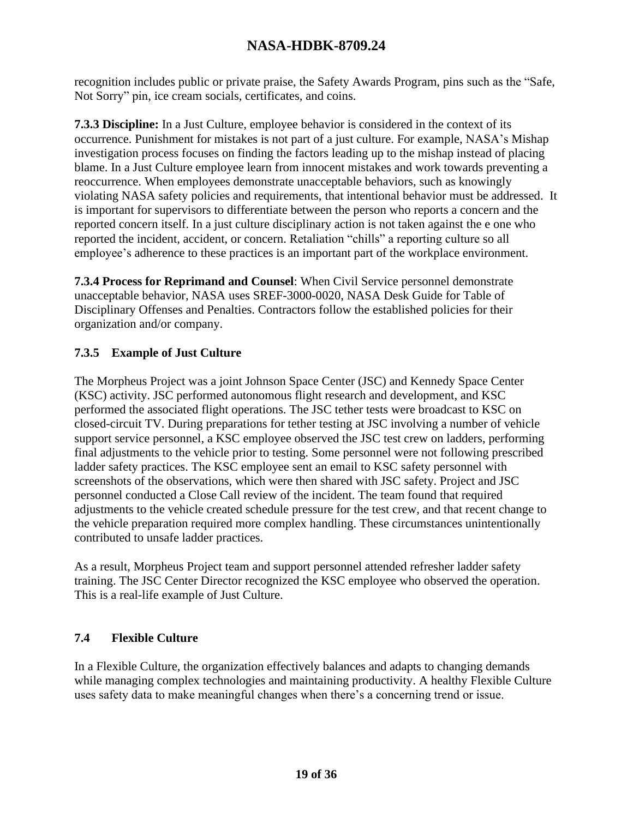recognition includes public or private praise, the Safety Awards Program, pins such as the "Safe, Not Sorry" pin, ice cream socials, certificates, and coins.

**7.3.3 Discipline:** In a Just Culture, employee behavior is considered in the context of its occurrence. Punishment for mistakes is not part of a just culture. For example, NASA's Mishap investigation process focuses on finding the factors leading up to the mishap instead of placing blame. In a Just Culture employee learn from innocent mistakes and work towards preventing a reoccurrence. When employees demonstrate unacceptable behaviors, such as knowingly violating NASA safety policies and requirements, that intentional behavior must be addressed. It is important for supervisors to differentiate between the person who reports a concern and the reported concern itself. In a just culture disciplinary action is not taken against the e one who reported the incident, accident, or concern. Retaliation "chills" a reporting culture so all employee's adherence to these practices is an important part of the workplace environment.

**7.3.4 Process for Reprimand and Counsel**: When Civil Service personnel demonstrate unacceptable behavior, NASA uses SREF-3000-0020, NASA Desk Guide for Table of Disciplinary Offenses and Penalties. Contractors follow the established policies for their organization and/or company.

#### **7.3.5 Example of Just Culture**

The Morpheus Project was a joint Johnson Space Center (JSC) and Kennedy Space Center (KSC) activity. JSC performed autonomous flight research and development, and KSC performed the associated flight operations. The JSC tether tests were broadcast to KSC on closed-circuit TV. During preparations for tether testing at JSC involving a number of vehicle support service personnel, a KSC employee observed the JSC test crew on ladders, performing final adjustments to the vehicle prior to testing. Some personnel were not following prescribed ladder safety practices. The KSC employee sent an email to KSC safety personnel with screenshots of the observations, which were then shared with JSC safety. Project and JSC personnel conducted a Close Call review of the incident. The team found that required adjustments to the vehicle created schedule pressure for the test crew, and that recent change to the vehicle preparation required more complex handling. These circumstances unintentionally contributed to unsafe ladder practices.

As a result, Morpheus Project team and support personnel attended refresher ladder safety training. The JSC Center Director recognized the KSC employee who observed the operation. This is a real-life example of Just Culture.

### **7.4 Flexible Culture**

In a Flexible Culture, the organization effectively balances and adapts to changing demands while managing complex technologies and maintaining productivity. A healthy Flexible Culture uses safety data to make meaningful changes when there's a concerning trend or issue.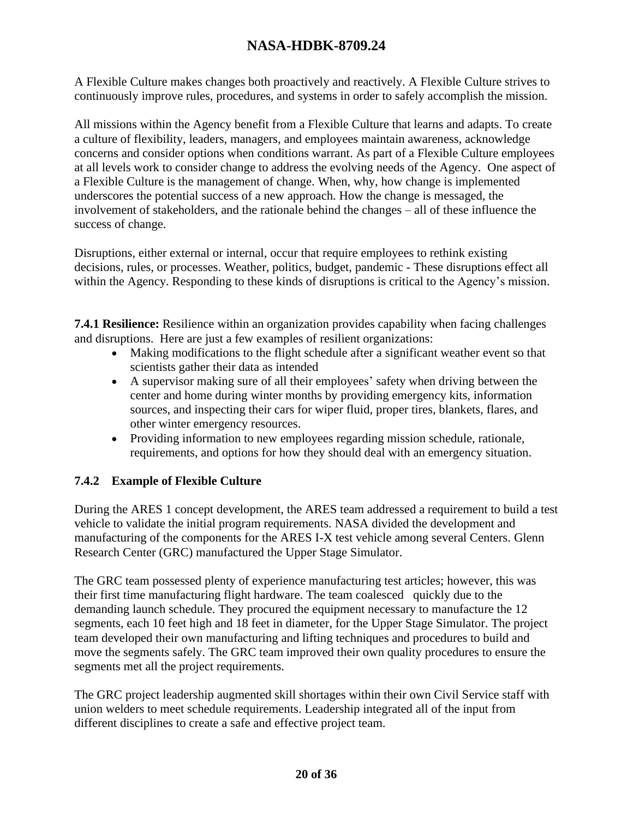A Flexible Culture makes changes both proactively and reactively. A Flexible Culture strives to continuously improve rules, procedures, and systems in order to safely accomplish the mission.

All missions within the Agency benefit from a Flexible Culture that learns and adapts. To create a culture of flexibility, leaders, managers, and employees maintain awareness, acknowledge concerns and consider options when conditions warrant. As part of a Flexible Culture employees at all levels work to consider change to address the evolving needs of the Agency. One aspect of a Flexible Culture is the management of change. When, why, how change is implemented underscores the potential success of a new approach. How the change is messaged, the involvement of stakeholders, and the rationale behind the changes – all of these influence the success of change.

Disruptions, either external or internal, occur that require employees to rethink existing decisions, rules, or processes. Weather, politics, budget, pandemic - These disruptions effect all within the Agency. Responding to these kinds of disruptions is critical to the Agency's mission.

**7.4.1 Resilience:** Resilience within an organization provides capability when facing challenges and disruptions. Here are just a few examples of resilient organizations:

- Making modifications to the flight schedule after a significant weather event so that scientists gather their data as intended
- A supervisor making sure of all their employees' safety when driving between the center and home during winter months by providing emergency kits, information sources, and inspecting their cars for wiper fluid, proper tires, blankets, flares, and other winter emergency resources.
- Providing information to new employees regarding mission schedule, rationale, requirements, and options for how they should deal with an emergency situation.

### **7.4.2 Example of Flexible Culture**

During the ARES 1 concept development, the ARES team addressed a requirement to build a test vehicle to validate the initial program requirements. NASA divided the development and manufacturing of the components for the ARES I-X test vehicle among several Centers. Glenn Research Center (GRC) manufactured the Upper Stage Simulator.

The GRC team possessed plenty of experience manufacturing test articles; however, this was their first time manufacturing flight hardware. The team coalesced quickly due to the demanding launch schedule. They procured the equipment necessary to manufacture the 12 segments, each 10 feet high and 18 feet in diameter, for the Upper Stage Simulator. The project team developed their own manufacturing and lifting techniques and procedures to build and move the segments safely. The GRC team improved their own quality procedures to ensure the segments met all the project requirements.

The GRC project leadership augmented skill shortages within their own Civil Service staff with union welders to meet schedule requirements. Leadership integrated all of the input from different disciplines to create a safe and effective project team.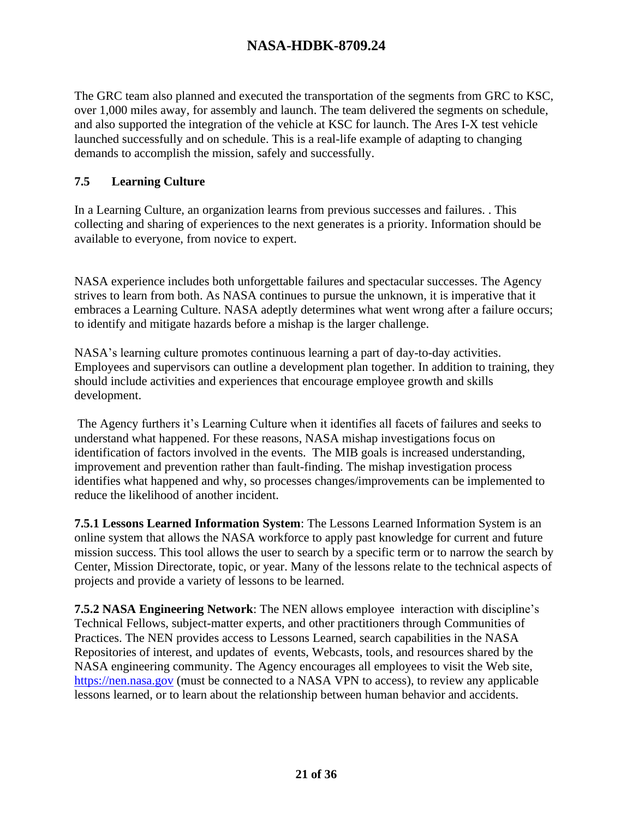The GRC team also planned and executed the transportation of the segments from GRC to KSC, over 1,000 miles away, for assembly and launch. The team delivered the segments on schedule, and also supported the integration of the vehicle at KSC for launch. The Ares I-X test vehicle launched successfully and on schedule. This is a real-life example of adapting to changing demands to accomplish the mission, safely and successfully.

#### **7.5 Learning Culture**

In a Learning Culture, an organization learns from previous successes and failures. . This collecting and sharing of experiences to the next generates is a priority. Information should be available to everyone, from novice to expert.

NASA experience includes both unforgettable failures and spectacular successes. The Agency strives to learn from both. As NASA continues to pursue the unknown, it is imperative that it embraces a Learning Culture. NASA adeptly determines what went wrong after a failure occurs; to identify and mitigate hazards before a mishap is the larger challenge.

NASA's learning culture promotes continuous learning a part of day-to-day activities. Employees and supervisors can outline a development plan together. In addition to training, they should include activities and experiences that encourage employee growth and skills development.

The Agency furthers it's Learning Culture when it identifies all facets of failures and seeks to understand what happened. For these reasons, NASA mishap investigations focus on identification of factors involved in the events. The MIB goals is increased understanding, improvement and prevention rather than fault-finding. The mishap investigation process identifies what happened and why, so processes changes/improvements can be implemented to reduce the likelihood of another incident.

**7.5.1 Lessons Learned Information System**: The Lessons Learned Information System is an online system that allows the NASA workforce to apply past knowledge for current and future mission success. This tool allows the user to search by a specific term or to narrow the search by Center, Mission Directorate, topic, or year. Many of the lessons relate to the technical aspects of projects and provide a variety of lessons to be learned.

**7.5.2 NASA Engineering Network**: The NEN allows employee interaction with discipline's Technical Fellows, subject-matter experts, and other practitioners through Communities of Practices. The NEN provides access to Lessons Learned, search capabilities in the NASA Repositories of interest, and updates of events, Webcasts, tools, and resources shared by the NASA engineering community. The Agency encourages all employees to visit the Web site, [https://nen.nasa.gov](https://nen.nasa.gov/) (must be connected to a NASA VPN to access), to review any applicable lessons learned, or to learn about the relationship between human behavior and accidents.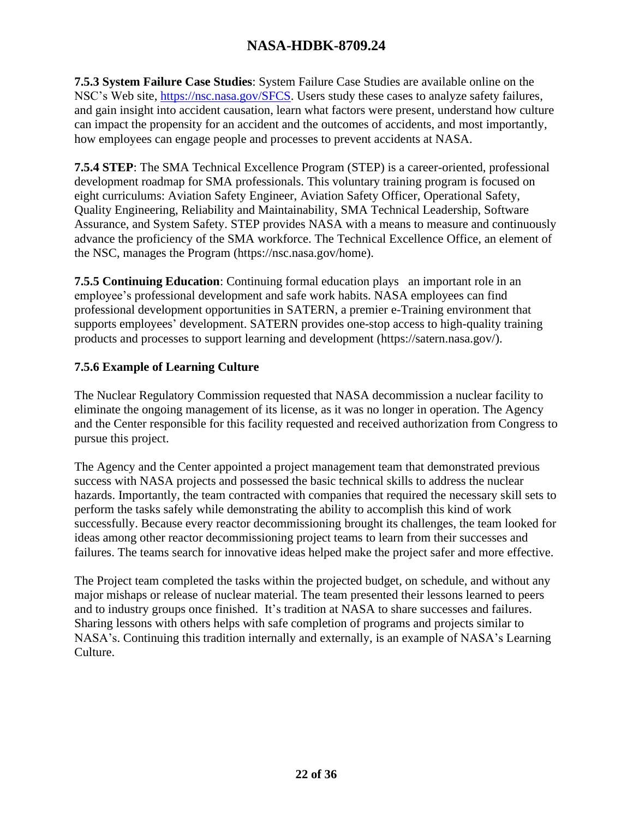**7.5.3 System Failure Case Studies**: System Failure Case Studies are available online on the NSC's Web site, [https://nsc.nasa.gov/SFCS.](https://nsc.nasa.gov/SFCS) Users study these cases to analyze safety failures, and gain insight into accident causation, learn what factors were present, understand how culture can impact the propensity for an accident and the outcomes of accidents, and most importantly, how employees can engage people and processes to prevent accidents at NASA.

**7.5.4 STEP**: The SMA Technical Excellence Program (STEP) is a career-oriented, professional development roadmap for SMA professionals. This voluntary training program is focused on eight curriculums: Aviation Safety Engineer, Aviation Safety Officer, Operational Safety, Quality Engineering, Reliability and Maintainability, SMA Technical Leadership, Software Assurance, and System Safety. STEP provides NASA with a means to measure and continuously advance the proficiency of the SMA workforce. The Technical Excellence Office, an element of the NSC, manages the Program (https://nsc.nasa.gov/home).

**7.5.5 Continuing Education**: Continuing formal education plays an important role in an employee's professional development and safe work habits. NASA employees can find professional development opportunities in SATERN, a premier e-Training environment that supports employees' development. SATERN provides one-stop access to high-quality training products and processes to support learning and development (https://satern.nasa.gov/).

#### **7.5.6 Example of Learning Culture**

The Nuclear Regulatory Commission requested that NASA decommission a nuclear facility to eliminate the ongoing management of its license, as it was no longer in operation. The Agency and the Center responsible for this facility requested and received authorization from Congress to pursue this project.

The Agency and the Center appointed a project management team that demonstrated previous success with NASA projects and possessed the basic technical skills to address the nuclear hazards. Importantly, the team contracted with companies that required the necessary skill sets to perform the tasks safely while demonstrating the ability to accomplish this kind of work successfully. Because every reactor decommissioning brought its challenges, the team looked for ideas among other reactor decommissioning project teams to learn from their successes and failures. The teams search for innovative ideas helped make the project safer and more effective.

The Project team completed the tasks within the projected budget, on schedule, and without any major mishaps or release of nuclear material. The team presented their lessons learned to peers and to industry groups once finished. It's tradition at NASA to share successes and failures. Sharing lessons with others helps with safe completion of programs and projects similar to NASA's. Continuing this tradition internally and externally, is an example of NASA's Learning Culture.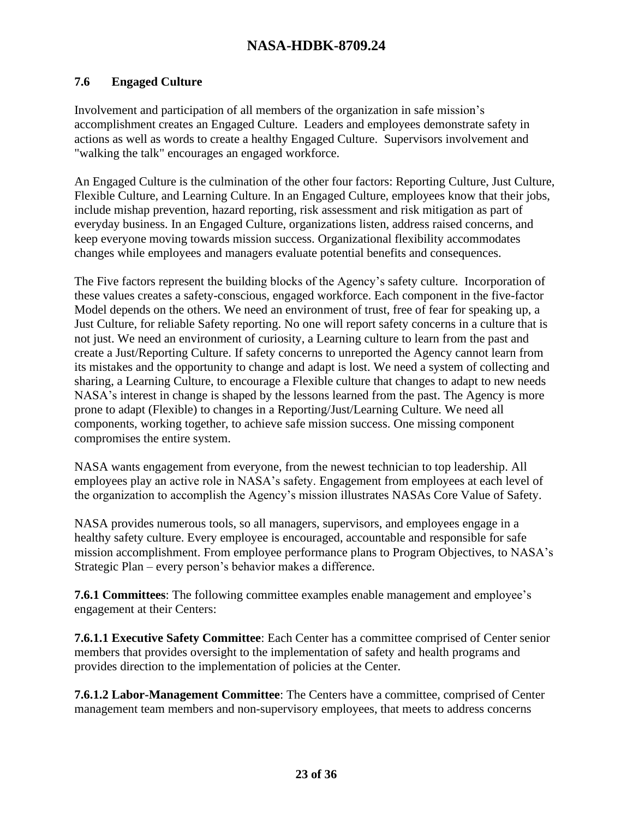#### **7.6 Engaged Culture**

Involvement and participation of all members of the organization in safe mission's accomplishment creates an Engaged Culture. Leaders and employees demonstrate safety in actions as well as words to create a healthy Engaged Culture. Supervisors involvement and "walking the talk" encourages an engaged workforce.

An Engaged Culture is the culmination of the other four factors: Reporting Culture, Just Culture, Flexible Culture, and Learning Culture. In an Engaged Culture, employees know that their jobs, include mishap prevention, hazard reporting, risk assessment and risk mitigation as part of everyday business. In an Engaged Culture, organizations listen, address raised concerns, and keep everyone moving towards mission success. Organizational flexibility accommodates changes while employees and managers evaluate potential benefits and consequences.

The Five factors represent the building blocks of the Agency's safety culture. Incorporation of these values creates a safety-conscious, engaged workforce. Each component in the five-factor Model depends on the others. We need an environment of trust, free of fear for speaking up, a Just Culture, for reliable Safety reporting. No one will report safety concerns in a culture that is not just. We need an environment of curiosity, a Learning culture to learn from the past and create a Just/Reporting Culture. If safety concerns to unreported the Agency cannot learn from its mistakes and the opportunity to change and adapt is lost. We need a system of collecting and sharing, a Learning Culture, to encourage a Flexible culture that changes to adapt to new needs NASA's interest in change is shaped by the lessons learned from the past. The Agency is more prone to adapt (Flexible) to changes in a Reporting/Just/Learning Culture. We need all components, working together, to achieve safe mission success. One missing component compromises the entire system.

NASA wants engagement from everyone, from the newest technician to top leadership. All employees play an active role in NASA's safety. Engagement from employees at each level of the organization to accomplish the Agency's mission illustrates NASAs Core Value of Safety.

NASA provides numerous tools, so all managers, supervisors, and employees engage in a healthy safety culture. Every employee is encouraged, accountable and responsible for safe mission accomplishment. From employee performance plans to Program Objectives, to NASA's Strategic Plan – every person's behavior makes a difference.

**7.6.1 Committees**: The following committee examples enable management and employee's engagement at their Centers:

**7.6.1.1 Executive Safety Committee**: Each Center has a committee comprised of Center senior members that provides oversight to the implementation of safety and health programs and provides direction to the implementation of policies at the Center.

**7.6.1.2 Labor-Management Committee**: The Centers have a committee, comprised of Center management team members and non-supervisory employees, that meets to address concerns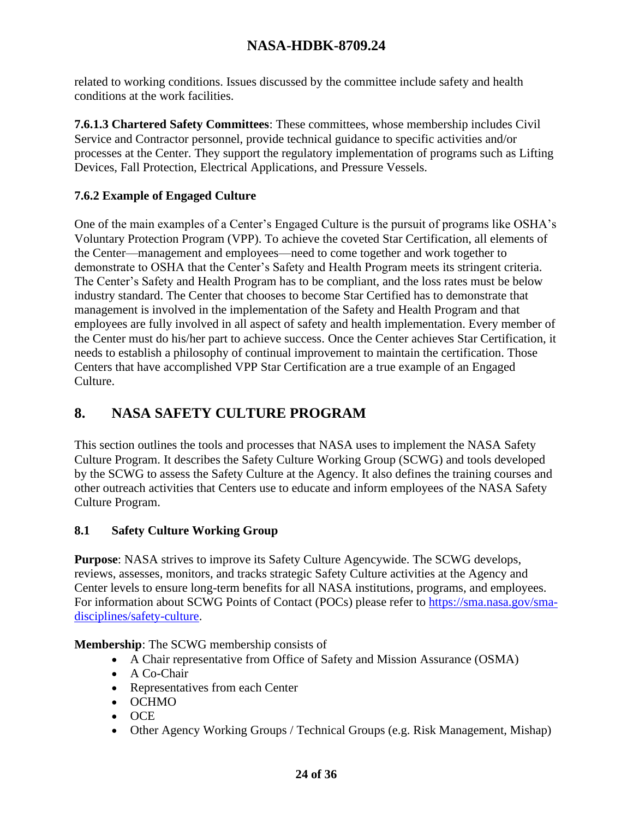related to working conditions. Issues discussed by the committee include safety and health conditions at the work facilities.

**7.6.1.3 Chartered Safety Committees**: These committees, whose membership includes Civil Service and Contractor personnel, provide technical guidance to specific activities and/or processes at the Center. They support the regulatory implementation of programs such as Lifting Devices, Fall Protection, Electrical Applications, and Pressure Vessels.

### **7.6.2 Example of Engaged Culture**

One of the main examples of a Center's Engaged Culture is the pursuit of programs like OSHA's Voluntary Protection Program (VPP). To achieve the coveted Star Certification, all elements of the Center—management and employees—need to come together and work together to demonstrate to OSHA that the Center's Safety and Health Program meets its stringent criteria. The Center's Safety and Health Program has to be compliant, and the loss rates must be below industry standard. The Center that chooses to become Star Certified has to demonstrate that management is involved in the implementation of the Safety and Health Program and that employees are fully involved in all aspect of safety and health implementation. Every member of the Center must do his/her part to achieve success. Once the Center achieves Star Certification, it needs to establish a philosophy of continual improvement to maintain the certification. Those Centers that have accomplished VPP Star Certification are a true example of an Engaged Culture.

# **8. NASA SAFETY CULTURE PROGRAM**

This section outlines the tools and processes that NASA uses to implement the NASA Safety Culture Program. It describes the Safety Culture Working Group (SCWG) and tools developed by the SCWG to assess the Safety Culture at the Agency. It also defines the training courses and other outreach activities that Centers use to educate and inform employees of the NASA Safety Culture Program.

### **8.1 Safety Culture Working Group**

**Purpose**: NASA strives to improve its Safety Culture Agencywide. The SCWG develops, reviews, assesses, monitors, and tracks strategic Safety Culture activities at the Agency and Center levels to ensure long-term benefits for all NASA institutions, programs, and employees. For information about SCWG Points of Contact (POCs) please refer to [https://sma.nasa.gov/sma](https://sma.nasa.gov/sma-disciplines/safety-culture)[disciplines/safety-culture.](https://sma.nasa.gov/sma-disciplines/safety-culture)

#### **Membership**: The SCWG membership consists of

- A Chair representative from Office of Safety and Mission Assurance (OSMA)
- A Co-Chair
- Representatives from each Center
- OCHMO
- OCE
- Other Agency Working Groups / Technical Groups (e.g. Risk Management, Mishap)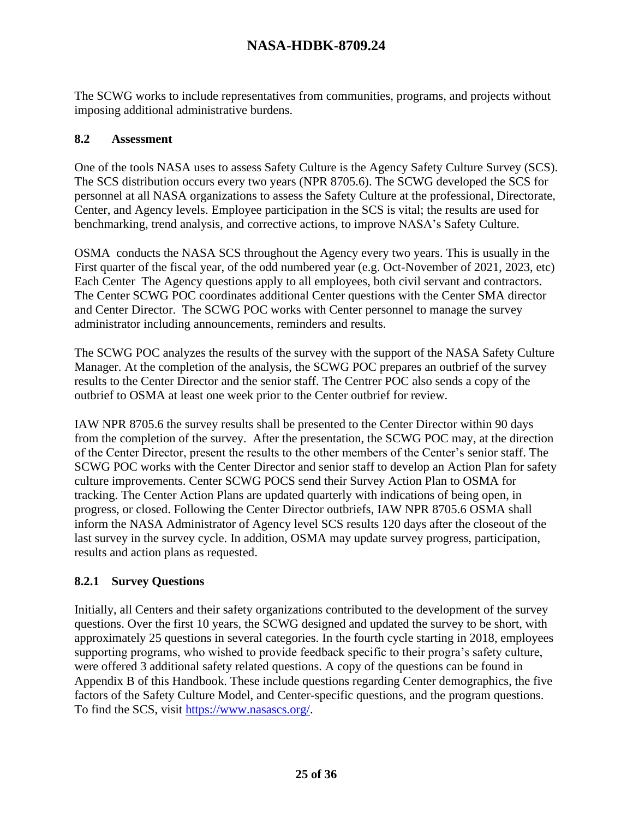The SCWG works to include representatives from communities, programs, and projects without imposing additional administrative burdens.

#### **8.2 Assessment**

One of the tools NASA uses to assess Safety Culture is the Agency Safety Culture Survey (SCS). The SCS distribution occurs every two years (NPR 8705.6). The SCWG developed the SCS for personnel at all NASA organizations to assess the Safety Culture at the professional, Directorate, Center, and Agency levels. Employee participation in the SCS is vital; the results are used for benchmarking, trend analysis, and corrective actions, to improve NASA's Safety Culture.

OSMA conducts the NASA SCS throughout the Agency every two years. This is usually in the First quarter of the fiscal year, of the odd numbered year (e.g. Oct-November of 2021, 2023, etc) Each Center The Agency questions apply to all employees, both civil servant and contractors. The Center SCWG POC coordinates additional Center questions with the Center SMA director and Center Director. The SCWG POC works with Center personnel to manage the survey administrator including announcements, reminders and results.

The SCWG POC analyzes the results of the survey with the support of the NASA Safety Culture Manager. At the completion of the analysis, the SCWG POC prepares an outbrief of the survey results to the Center Director and the senior staff. The Centrer POC also sends a copy of the outbrief to OSMA at least one week prior to the Center outbrief for review.

IAW NPR 8705.6 the survey results shall be presented to the Center Director within 90 days from the completion of the survey. After the presentation, the SCWG POC may, at the direction of the Center Director, present the results to the other members of the Center's senior staff. The SCWG POC works with the Center Director and senior staff to develop an Action Plan for safety culture improvements. Center SCWG POCS send their Survey Action Plan to OSMA for tracking. The Center Action Plans are updated quarterly with indications of being open, in progress, or closed. Following the Center Director outbriefs, IAW NPR 8705.6 OSMA shall inform the NASA Administrator of Agency level SCS results 120 days after the closeout of the last survey in the survey cycle. In addition, OSMA may update survey progress, participation, results and action plans as requested.

### **8.2.1 Survey Questions**

Initially, all Centers and their safety organizations contributed to the development of the survey questions. Over the first 10 years, the SCWG designed and updated the survey to be short, with approximately 25 questions in several categories. In the fourth cycle starting in 2018, employees supporting programs, who wished to provide feedback specific to their progra's safety culture, were offered 3 additional safety related questions. A copy of the questions can be found in Appendix B of this Handbook. These include questions regarding Center demographics, the five factors of the Safety Culture Model, and Center-specific questions, and the program questions. To find the SCS, visit [https://www.nasascs.org/.](https://www.nasascs.org/)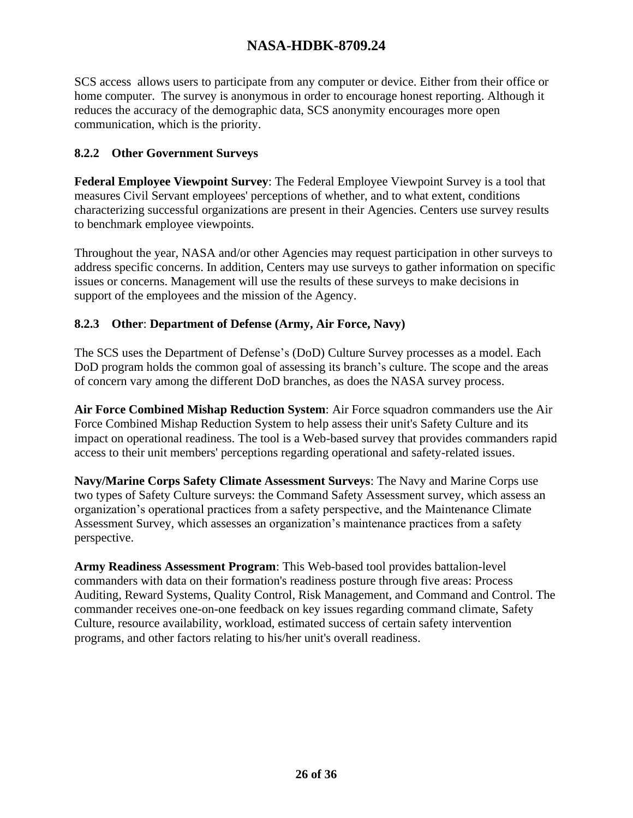SCS access allows users to participate from any computer or device. Either from their office or home computer. The survey is anonymous in order to encourage honest reporting. Although it reduces the accuracy of the demographic data, SCS anonymity encourages more open communication, which is the priority.

#### **8.2.2 Other Government Surveys**

**Federal Employee Viewpoint Survey**: The Federal Employee Viewpoint Survey is a tool that measures Civil Servant employees' perceptions of whether, and to what extent, conditions characterizing successful organizations are present in their Agencies. Centers use survey results to benchmark employee viewpoints.

Throughout the year, NASA and/or other Agencies may request participation in other surveys to address specific concerns. In addition, Centers may use surveys to gather information on specific issues or concerns. Management will use the results of these surveys to make decisions in support of the employees and the mission of the Agency.

#### **8.2.3 Other**: **Department of Defense (Army, Air Force, Navy)**

The SCS uses the Department of Defense's (DoD) Culture Survey processes as a model. Each DoD program holds the common goal of assessing its branch's culture. The scope and the areas of concern vary among the different DoD branches, as does the NASA survey process.

**Air Force Combined Mishap Reduction System**: Air Force squadron commanders use the Air Force Combined Mishap Reduction System to help assess their unit's Safety Culture and its impact on operational readiness. The tool is a Web-based survey that provides commanders rapid access to their unit members' perceptions regarding operational and safety-related issues.

**Navy/Marine Corps Safety Climate Assessment Surveys**: The Navy and Marine Corps use two types of Safety Culture surveys: the Command Safety Assessment survey, which assess an organization's operational practices from a safety perspective, and the Maintenance Climate Assessment Survey, which assesses an organization's maintenance practices from a safety perspective.

**Army Readiness Assessment Program**: This Web-based tool provides battalion-level commanders with data on their formation's readiness posture through five areas: Process Auditing, Reward Systems, Quality Control, Risk Management, and Command and Control. The commander receives one-on-one feedback on key issues regarding command climate, Safety Culture, resource availability, workload, estimated success of certain safety intervention programs, and other factors relating to his/her unit's overall readiness.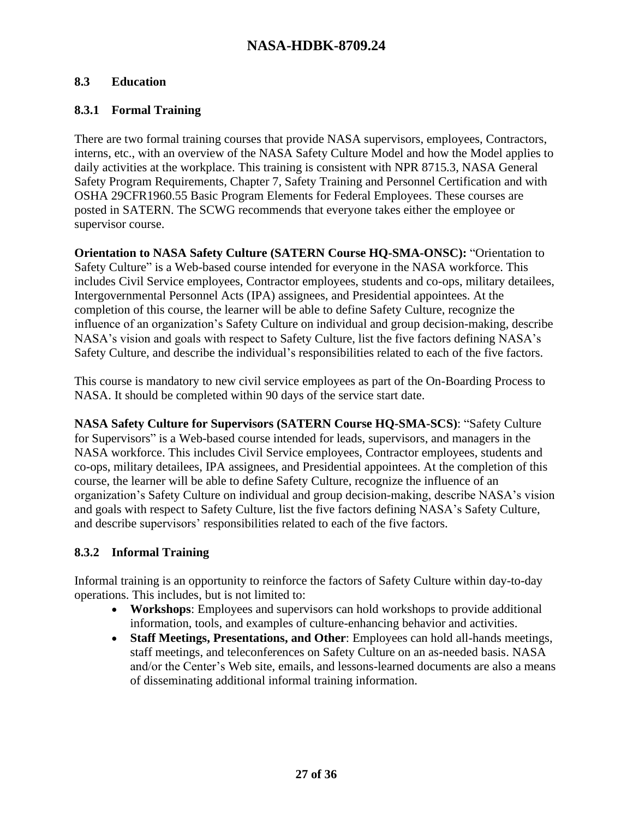#### **8.3 Education**

#### **8.3.1 Formal Training**

There are two formal training courses that provide NASA supervisors, employees, Contractors, interns, etc., with an overview of the NASA Safety Culture Model and how the Model applies to daily activities at the workplace. This training is consistent with NPR 8715.3, NASA General Safety Program Requirements*,* Chapter 7, Safety Training and Personnel Certification and with OSHA 29CFR1960.55 Basic Program Elements for Federal Employees. These courses are posted in SATERN. The SCWG recommends that everyone takes either the employee or supervisor course.

**Orientation to NASA Safety Culture (SATERN Course HQ-SMA-ONSC):** "Orientation to Safety Culture" is a Web-based course intended for everyone in the NASA workforce. This includes Civil Service employees, Contractor employees, students and co-ops, military detailees, Intergovernmental Personnel Acts (IPA) assignees, and Presidential appointees. At the completion of this course, the learner will be able to define Safety Culture, recognize the influence of an organization's Safety Culture on individual and group decision-making, describe NASA's vision and goals with respect to Safety Culture, list the five factors defining NASA's Safety Culture, and describe the individual's responsibilities related to each of the five factors.

This course is mandatory to new civil service employees as part of the On-Boarding Process to NASA. It should be completed within 90 days of the service start date.

**NASA Safety Culture for Supervisors (SATERN Course HQ-SMA-SCS)**: "Safety Culture for Supervisors" is a Web-based course intended for leads, supervisors, and managers in the NASA workforce. This includes Civil Service employees, Contractor employees, students and co-ops, military detailees, IPA assignees, and Presidential appointees. At the completion of this course, the learner will be able to define Safety Culture, recognize the influence of an organization's Safety Culture on individual and group decision-making, describe NASA's vision and goals with respect to Safety Culture, list the five factors defining NASA's Safety Culture, and describe supervisors' responsibilities related to each of the five factors.

#### **8.3.2 Informal Training**

Informal training is an opportunity to reinforce the factors of Safety Culture within day-to-day operations. This includes, but is not limited to:

- **Workshops**: Employees and supervisors can hold workshops to provide additional information, tools, and examples of culture-enhancing behavior and activities.
- **Staff Meetings, Presentations, and Other**: Employees can hold all-hands meetings, staff meetings, and teleconferences on Safety Culture on an as-needed basis. NASA and/or the Center's Web site, emails, and lessons-learned documents are also a means of disseminating additional informal training information.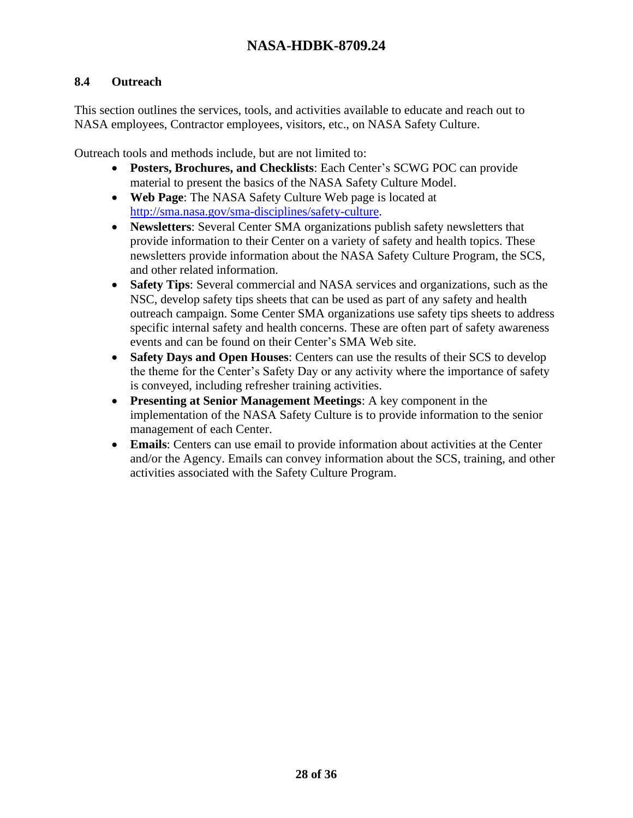#### **8.4 Outreach**

This section outlines the services, tools, and activities available to educate and reach out to NASA employees, Contractor employees, visitors, etc., on NASA Safety Culture.

Outreach tools and methods include, but are not limited to:

- **Posters, Brochures, and Checklists**: Each Center's SCWG POC can provide material to present the basics of the NASA Safety Culture Model.
- **Web Page**: The NASA Safety Culture Web page is located at [http://sma.nasa.gov/sma-disciplines/safety-culture.](http://sma.nasa.gov/sma-disciplines/safety-culture)
- **Newsletters**: Several Center SMA organizations publish safety newsletters that provide information to their Center on a variety of safety and health topics. These newsletters provide information about the NASA Safety Culture Program, the SCS, and other related information.
- **Safety Tips**: Several commercial and NASA services and organizations, such as the NSC, develop safety tips sheets that can be used as part of any safety and health outreach campaign. Some Center SMA organizations use safety tips sheets to address specific internal safety and health concerns. These are often part of safety awareness events and can be found on their Center's SMA Web site.
- **Safety Days and Open Houses**: Centers can use the results of their SCS to develop the theme for the Center's Safety Day or any activity where the importance of safety is conveyed, including refresher training activities.
- **Presenting at Senior Management Meetings**: A key component in the implementation of the NASA Safety Culture is to provide information to the senior management of each Center.
- **Emails**: Centers can use email to provide information about activities at the Center and/or the Agency. Emails can convey information about the SCS, training, and other activities associated with the Safety Culture Program.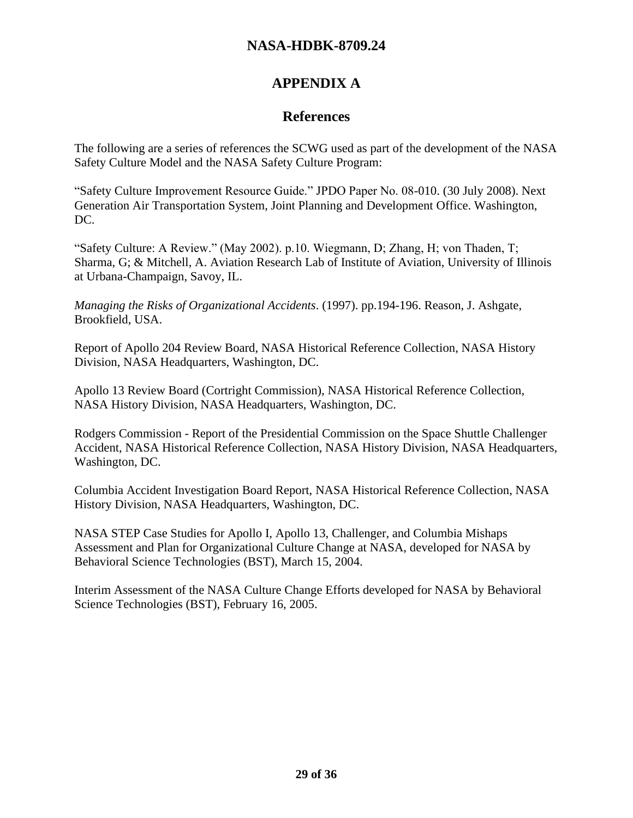# **APPENDIX A**

## **References**

The following are a series of references the SCWG used as part of the development of the NASA Safety Culture Model and the NASA Safety Culture Program:

"Safety Culture Improvement Resource Guide." JPDO Paper No. 08-010. (30 July 2008). Next Generation Air Transportation System, Joint Planning and Development Office. Washington, DC.

"Safety Culture: A Review." (May 2002). p.10. Wiegmann, D; Zhang, H; von Thaden, T; Sharma, G; & Mitchell, A. Aviation Research Lab of Institute of Aviation, University of Illinois at Urbana-Champaign, Savoy, IL.

*Managing the Risks of Organizational Accidents*. (1997). pp.194-196. Reason, J. Ashgate, Brookfield, USA.

Report of Apollo 204 Review Board, NASA Historical Reference Collection, NASA History Division, NASA Headquarters, Washington, DC.

Apollo 13 Review Board (Cortright Commission), NASA Historical Reference Collection, NASA History Division, NASA Headquarters, Washington, DC.

Rodgers Commission - Report of the Presidential Commission on the Space Shuttle Challenger Accident, NASA Historical Reference Collection, NASA History Division, NASA Headquarters, Washington, DC.

Columbia Accident Investigation Board Report, NASA Historical Reference Collection, NASA History Division, NASA Headquarters, Washington, DC.

NASA STEP Case Studies for Apollo I, Apollo 13, Challenger, and Columbia Mishaps Assessment and Plan for Organizational Culture Change at NASA, developed for NASA by Behavioral Science Technologies (BST), March 15, 2004.

Interim Assessment of the NASA Culture Change Efforts developed for NASA by Behavioral Science Technologies (BST), February 16, 2005.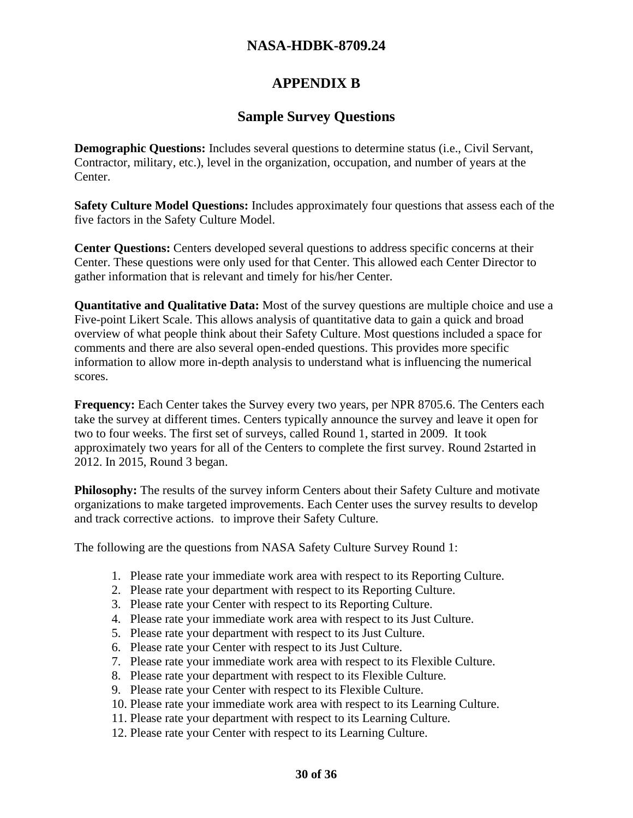# **APPENDIX B**

## **Sample Survey Questions**

**Demographic Questions:** Includes several questions to determine status (i.e., Civil Servant, Contractor, military, etc.), level in the organization, occupation, and number of years at the Center.

**Safety Culture Model Questions:** Includes approximately four questions that assess each of the five factors in the Safety Culture Model.

**Center Questions:** Centers developed several questions to address specific concerns at their Center. These questions were only used for that Center. This allowed each Center Director to gather information that is relevant and timely for his/her Center.

**Quantitative and Qualitative Data:** Most of the survey questions are multiple choice and use a Five-point Likert Scale. This allows analysis of quantitative data to gain a quick and broad overview of what people think about their Safety Culture. Most questions included a space for comments and there are also several open-ended questions. This provides more specific information to allow more in-depth analysis to understand what is influencing the numerical scores.

**Frequency:** Each Center takes the Survey every two years, per NPR 8705.6. The Centers each take the survey at different times. Centers typically announce the survey and leave it open for two to four weeks. The first set of surveys, called Round 1, started in 2009. It took approximately two years for all of the Centers to complete the first survey. Round 2started in 2012. In 2015, Round 3 began.

**Philosophy:** The results of the survey inform Centers about their Safety Culture and motivate organizations to make targeted improvements. Each Center uses the survey results to develop and track corrective actions. to improve their Safety Culture.

The following are the questions from NASA Safety Culture Survey Round 1:

- 1. Please rate your immediate work area with respect to its Reporting Culture.
- 2. Please rate your department with respect to its Reporting Culture.
- 3. Please rate your Center with respect to its Reporting Culture.
- 4. Please rate your immediate work area with respect to its Just Culture.
- 5. Please rate your department with respect to its Just Culture.
- 6. Please rate your Center with respect to its Just Culture.
- 7. Please rate your immediate work area with respect to its Flexible Culture.
- 8. Please rate your department with respect to its Flexible Culture.
- 9. Please rate your Center with respect to its Flexible Culture.
- 10. Please rate your immediate work area with respect to its Learning Culture.
- 11. Please rate your department with respect to its Learning Culture.
- 12. Please rate your Center with respect to its Learning Culture.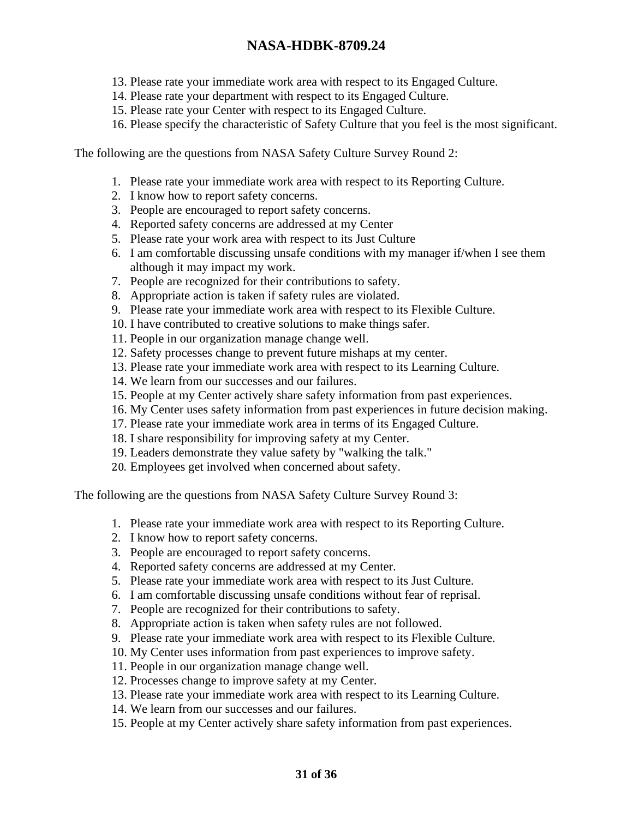- 13. Please rate your immediate work area with respect to its Engaged Culture.
- 14. Please rate your department with respect to its Engaged Culture.
- 15. Please rate your Center with respect to its Engaged Culture.
- 16. Please specify the characteristic of Safety Culture that you feel is the most significant.

The following are the questions from NASA Safety Culture Survey Round 2:

- 1. Please rate your immediate work area with respect to its Reporting Culture.
- 2. I know how to report safety concerns.
- 3. People are encouraged to report safety concerns.
- 4. Reported safety concerns are addressed at my Center
- 5. Please rate your work area with respect to its Just Culture
- 6. I am comfortable discussing unsafe conditions with my manager if/when I see them although it may impact my work.
- 7. People are recognized for their contributions to safety.
- 8. Appropriate action is taken if safety rules are violated.
- 9. Please rate your immediate work area with respect to its Flexible Culture.
- 10. I have contributed to creative solutions to make things safer.
- 11. People in our organization manage change well.
- 12. Safety processes change to prevent future mishaps at my center.
- 13. Please rate your immediate work area with respect to its Learning Culture.
- 14. We learn from our successes and our failures.
- 15. People at my Center actively share safety information from past experiences.
- 16. My Center uses safety information from past experiences in future decision making.
- 17. Please rate your immediate work area in terms of its Engaged Culture.
- 18. I share responsibility for improving safety at my Center.
- 19. Leaders demonstrate they value safety by "walking the talk."
- 20. Employees get involved when concerned about safety.

The following are the questions from NASA Safety Culture Survey Round 3:

- 1. Please rate your immediate work area with respect to its Reporting Culture.
- 2. I know how to report safety concerns.
- 3. People are encouraged to report safety concerns.
- 4. Reported safety concerns are addressed at my Center.
- 5. Please rate your immediate work area with respect to its Just Culture.
- 6. I am comfortable discussing unsafe conditions without fear of reprisal.
- 7. People are recognized for their contributions to safety.
- 8. Appropriate action is taken when safety rules are not followed.
- 9. Please rate your immediate work area with respect to its Flexible Culture.
- 10. My Center uses information from past experiences to improve safety.
- 11. People in our organization manage change well.
- 12. Processes change to improve safety at my Center.
- 13. Please rate your immediate work area with respect to its Learning Culture.
- 14. We learn from our successes and our failures.
- 15. People at my Center actively share safety information from past experiences.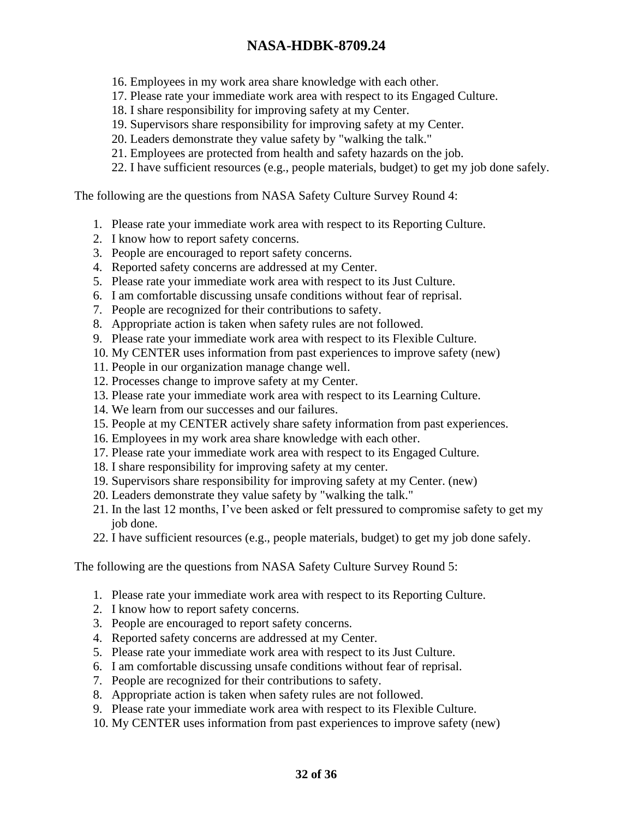- 16. Employees in my work area share knowledge with each other.
- 17. Please rate your immediate work area with respect to its Engaged Culture.
- 18. I share responsibility for improving safety at my Center.
- 19. Supervisors share responsibility for improving safety at my Center.
- 20. Leaders demonstrate they value safety by "walking the talk."
- 21. Employees are protected from health and safety hazards on the job.
- 22. I have sufficient resources (e.g., people materials, budget) to get my job done safely.

The following are the questions from NASA Safety Culture Survey Round 4:

- 1. Please rate your immediate work area with respect to its Reporting Culture.
- 2. I know how to report safety concerns.
- 3. People are encouraged to report safety concerns.
- 4. Reported safety concerns are addressed at my Center.
- 5. Please rate your immediate work area with respect to its Just Culture.
- 6. I am comfortable discussing unsafe conditions without fear of reprisal.
- 7. People are recognized for their contributions to safety.
- 8. Appropriate action is taken when safety rules are not followed.
- 9. Please rate your immediate work area with respect to its Flexible Culture.
- 10. My CENTER uses information from past experiences to improve safety (new)
- 11. People in our organization manage change well.
- 12. Processes change to improve safety at my Center.
- 13. Please rate your immediate work area with respect to its Learning Culture.
- 14. We learn from our successes and our failures.
- 15. People at my CENTER actively share safety information from past experiences.
- 16. Employees in my work area share knowledge with each other.
- 17. Please rate your immediate work area with respect to its Engaged Culture.
- 18. I share responsibility for improving safety at my center.
- 19. Supervisors share responsibility for improving safety at my Center. (new)
- 20. Leaders demonstrate they value safety by "walking the talk."
- 21. In the last 12 months, I've been asked or felt pressured to compromise safety to get my job done.
- 22. I have sufficient resources (e.g., people materials, budget) to get my job done safely.

The following are the questions from NASA Safety Culture Survey Round 5:

- 1. Please rate your immediate work area with respect to its Reporting Culture.
- 2. I know how to report safety concerns.
- 3. People are encouraged to report safety concerns.
- 4. Reported safety concerns are addressed at my Center.
- 5. Please rate your immediate work area with respect to its Just Culture.
- 6. I am comfortable discussing unsafe conditions without fear of reprisal.
- 7. People are recognized for their contributions to safety.
- 8. Appropriate action is taken when safety rules are not followed.
- 9. Please rate your immediate work area with respect to its Flexible Culture.
- 10. My CENTER uses information from past experiences to improve safety (new)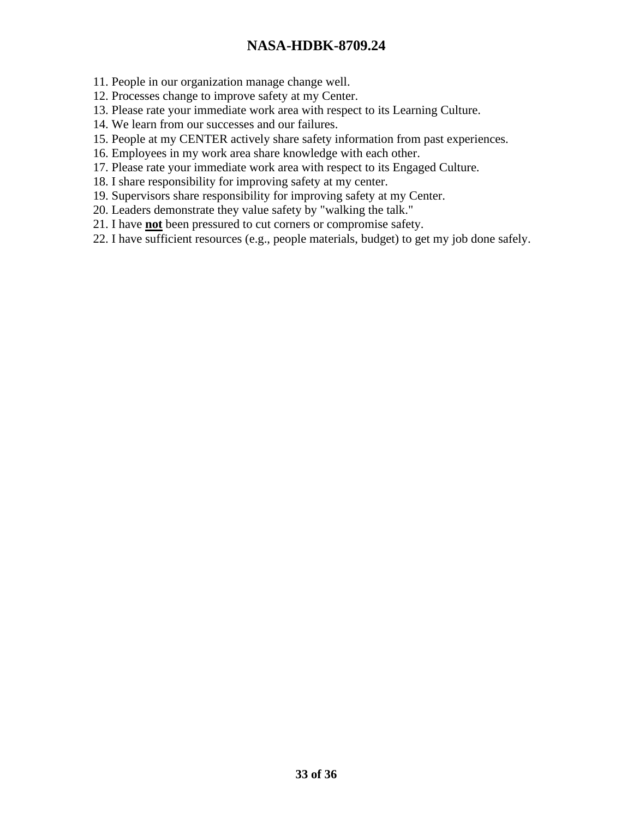11. People in our organization manage change well.

- 12. Processes change to improve safety at my Center.
- 13. Please rate your immediate work area with respect to its Learning Culture.
- 14. We learn from our successes and our failures.
- 15. People at my CENTER actively share safety information from past experiences.
- 16. Employees in my work area share knowledge with each other.
- 17. Please rate your immediate work area with respect to its Engaged Culture.
- 18. I share responsibility for improving safety at my center.
- 19. Supervisors share responsibility for improving safety at my Center.
- 20. Leaders demonstrate they value safety by "walking the talk."
- 21. I have **not** been pressured to cut corners or compromise safety.
- 22. I have sufficient resources (e.g., people materials, budget) to get my job done safely.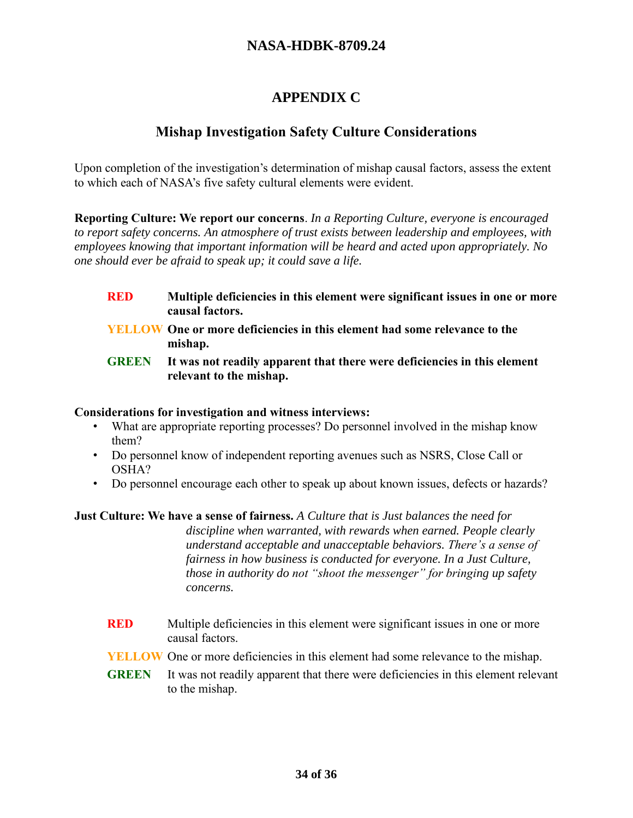# **APPENDIX C**

# **Mishap Investigation Safety Culture Considerations**

Upon completion of the investigation's determination of mishap causal factors, assess the extent to which each of NASA's five safety cultural elements were evident.

**Reporting Culture: We report our concerns**. *In a Reporting Culture, everyone is encouraged to report safety concerns. An atmosphere of trust exists between leadership and employees, with employees knowing that important information will be heard and acted upon appropriately. No one should ever be afraid to speak up; it could save a life.*

- **RED Multiple deficiencies in this element were significant issues in one or more causal factors.**
- **YELLOW One or more deficiencies in this element had some relevance to the mishap.**
- **GREEN It was not readily apparent that there were deficiencies in this element relevant to the mishap.**

#### **Considerations for investigation and witness interviews:**

- What are appropriate reporting processes? Do personnel involved in the mishap know them?
- Do personnel know of independent reporting avenues such as NSRS, Close Call or OSHA?
- Do personnel encourage each other to speak up about known issues, defects or hazards?

**Just Culture: We have a sense of fairness.** *A Culture that is Just balances the need for discipline when warranted, with rewards when earned. People clearly understand acceptable and unacceptable behaviors. There's a sense of fairness in how business is conducted for everyone. In a Just Culture, those in authority do not "shoot the messenger" for bringing up safety concerns.*

- **RED** Multiple deficiencies in this element were significant issues in one or more causal factors.
- **YELLOW** One or more deficiencies in this element had some relevance to the mishap.
- **GREEN** It was not readily apparent that there were deficiencies in this element relevant to the mishap.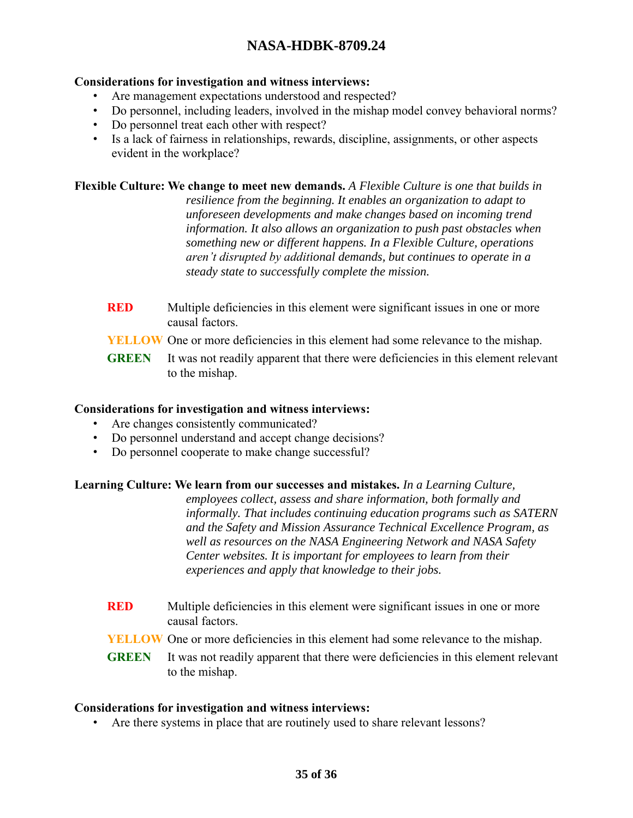#### **Considerations for investigation and witness interviews:**

- Are management expectations understood and respected?
- Do personnel, including leaders, involved in the mishap model convey behavioral norms?
- Do personnel treat each other with respect?
- Is a lack of fairness in relationships, rewards, discipline, assignments, or other aspects evident in the workplace?

**Flexible Culture: We change to meet new demands.** *A Flexible Culture is one that builds in resilience from the beginning. It enables an organization to adapt to unforeseen developments and make changes based on incoming trend information. It also allows an organization to push past obstacles when something new or different happens. In a Flexible Culture, operations aren't disrupted by additional demands, but continues to operate in a steady state to successfully complete the mission.*

- **RED** Multiple deficiencies in this element were significant issues in one or more causal factors.
- **YELLOW** One or more deficiencies in this element had some relevance to the mishap.
- **GREEN** It was not readily apparent that there were deficiencies in this element relevant to the mishap.

#### **Considerations for investigation and witness interviews:**

- Are changes consistently communicated?
- Do personnel understand and accept change decisions?
- Do personnel cooperate to make change successful?

#### **Learning Culture: We learn from our successes and mistakes.** *In a Learning Culture,*

*employees collect, assess and share information, both formally and informally. That includes continuing education programs such as SATERN and the Safety and Mission Assurance Technical Excellence Program, as well as resources on the NASA Engineering Network and NASA Safety Center websites. It is important for employees to learn from their experiences and apply that knowledge to their jobs.*

- **RED** Multiple deficiencies in this element were significant issues in one or more causal factors.
- **YELLOW** One or more deficiencies in this element had some relevance to the mishap.
- **GREEN** It was not readily apparent that there were deficiencies in this element relevant to the mishap.

#### **Considerations for investigation and witness interviews:**

• Are there systems in place that are routinely used to share relevant lessons?